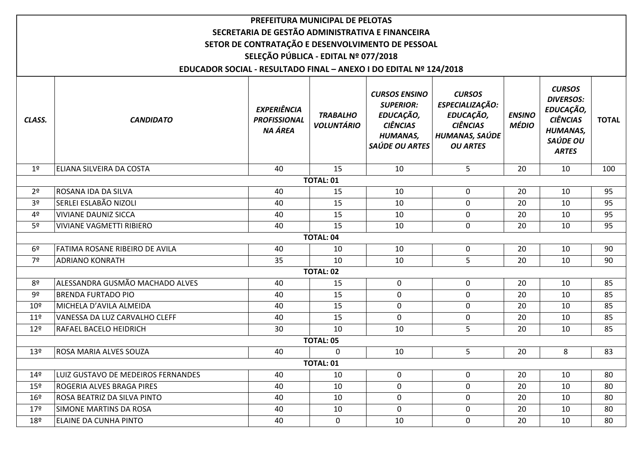|                 |                                                                   | PREFEITURA MUNICIPAL DE PELOTAS                      |                                      |                                                                                                               |                                                                                                       |                               |                                                                                                                  |              |  |  |
|-----------------|-------------------------------------------------------------------|------------------------------------------------------|--------------------------------------|---------------------------------------------------------------------------------------------------------------|-------------------------------------------------------------------------------------------------------|-------------------------------|------------------------------------------------------------------------------------------------------------------|--------------|--|--|
|                 |                                                                   |                                                      |                                      | SECRETARIA DE GESTÃO ADMINISTRATIVA E FINANCEIRA                                                              |                                                                                                       |                               |                                                                                                                  |              |  |  |
|                 | SETOR DE CONTRATAÇÃO E DESENVOLVIMENTO DE PESSOAL                 |                                                      |                                      |                                                                                                               |                                                                                                       |                               |                                                                                                                  |              |  |  |
|                 |                                                                   | SELEÇÃO PÚBLICA - EDITAL Nº 077/2018                 |                                      |                                                                                                               |                                                                                                       |                               |                                                                                                                  |              |  |  |
|                 | EDUCADOR SOCIAL - RESULTADO FINAL - ANEXO I DO EDITAL Nº 124/2018 |                                                      |                                      |                                                                                                               |                                                                                                       |                               |                                                                                                                  |              |  |  |
| CLASS.          | <b>CANDIDATO</b>                                                  | <b>EXPERIÊNCIA</b><br><b>PROFISSIONAL</b><br>NA ÁREA | <b>TRABALHO</b><br><b>VOLUNTÁRIO</b> | <b>CURSOS ENSINO</b><br><b>SUPERIOR:</b><br>EDUCAÇÃO,<br><b>CIÊNCIAS</b><br><b>HUMANAS,</b><br>SAÚDE OU ARTES | <b>CURSOS</b><br>ESPECIALIZAÇÃO:<br>EDUCAÇÃO,<br><b>CIÊNCIAS</b><br>HUMANAS, SAÚDE<br><b>OU ARTES</b> | <b>ENSINO</b><br><b>MÉDIO</b> | <b>CURSOS</b><br><b>DIVERSOS:</b><br>EDUCAÇÃO,<br><b>CIÊNCIAS</b><br><b>HUMANAS,</b><br>SAÚDE OU<br><b>ARTES</b> | <b>TOTAL</b> |  |  |
| 1 <sup>°</sup>  | ELIANA SILVEIRA DA COSTA                                          | 40                                                   | 15                                   | 10                                                                                                            | 5                                                                                                     | 20                            | 10                                                                                                               | 100          |  |  |
|                 |                                                                   |                                                      | <b>TOTAL: 01</b>                     |                                                                                                               |                                                                                                       |                               |                                                                                                                  |              |  |  |
| 2 <sup>o</sup>  | ROSANA IDA DA SILVA                                               | 40                                                   | 15                                   | 10                                                                                                            | $\mathbf 0$                                                                                           | 20                            | 10                                                                                                               | 95           |  |  |
| 3 <sup>o</sup>  | SERLEI ESLABÃO NIZOLI                                             | 40                                                   | 15                                   | 10                                                                                                            | 0                                                                                                     | 20                            | 10                                                                                                               | 95           |  |  |
| 4 <sup>o</sup>  | <b>VIVIANE DAUNIZ SICCA</b>                                       | 40                                                   | 15                                   | 10                                                                                                            | $\mathbf 0$                                                                                           | 20                            | 10                                                                                                               | 95           |  |  |
| 5 <sup>o</sup>  | <b>VIVIANE VAGMETTI RIBIERO</b>                                   | 40                                                   | 15                                   | 10                                                                                                            | $\mathbf 0$                                                                                           | 20                            | 10                                                                                                               | 95           |  |  |
|                 |                                                                   |                                                      | <b>TOTAL: 04</b>                     |                                                                                                               |                                                                                                       |                               |                                                                                                                  |              |  |  |
| 6 <sup>o</sup>  | FATIMA ROSANE RIBEIRO DE AVILA                                    | 40                                                   | 10                                   | 10                                                                                                            | 0                                                                                                     | 20                            | 10                                                                                                               | 90           |  |  |
| 7º              | <b>ADRIANO KONRATH</b>                                            | 35                                                   | 10                                   | 10                                                                                                            | 5                                                                                                     | 20                            | 10                                                                                                               | 90           |  |  |
|                 |                                                                   |                                                      | <b>TOTAL: 02</b>                     |                                                                                                               |                                                                                                       |                               |                                                                                                                  |              |  |  |
| 8 <sup>o</sup>  | ALESSANDRA GUSMÃO MACHADO ALVES                                   | 40                                                   | 15                                   | $\mathbf{0}$                                                                                                  | $\mathbf 0$                                                                                           | 20                            | 10                                                                                                               | 85           |  |  |
| 9º              | <b>BRENDA FURTADO PIO</b>                                         | 40                                                   | 15                                   | $\mathbf 0$                                                                                                   | 0                                                                                                     | 20                            | 10                                                                                                               | 85           |  |  |
| 10 <sup>°</sup> | MICHELA D'AVILA ALMEIDA                                           | 40                                                   | 15                                   | $\mathbf 0$                                                                                                   | $\mathbf 0$                                                                                           | 20                            | 10                                                                                                               | 85           |  |  |
| 11 <sup>°</sup> | VANESSA DA LUZ CARVALHO CLEFF                                     | 40                                                   | 15                                   | $\mathbf 0$                                                                                                   | 0                                                                                                     | 20                            | 10                                                                                                               | 85           |  |  |
| 12 <sup>°</sup> | <b>RAFAEL BACELO HEIDRICH</b>                                     | 30                                                   | 10                                   | 10                                                                                                            | 5                                                                                                     | 20                            | 10                                                                                                               | 85           |  |  |
|                 |                                                                   |                                                      | <b>TOTAL: 05</b>                     |                                                                                                               |                                                                                                       |                               |                                                                                                                  |              |  |  |
| 13 <sup>°</sup> | ROSA MARIA ALVES SOUZA                                            | 40                                                   | 0                                    | 10                                                                                                            | 5                                                                                                     | 20                            | 8                                                                                                                | 83           |  |  |
|                 | TOTAL: 01                                                         |                                                      |                                      |                                                                                                               |                                                                                                       |                               |                                                                                                                  |              |  |  |
| $14^{\circ}$    | LUIZ GUSTAVO DE MEDEIROS FERNANDES                                | 40                                                   | 10                                   | $\mathbf{0}$                                                                                                  | $\mathbf 0$                                                                                           | 20                            | 10                                                                                                               | 80           |  |  |
| $15^{\circ}$    | ROGERIA ALVES BRAGA PIRES                                         | 40                                                   | 10                                   | $\mathbf 0$                                                                                                   | 0                                                                                                     | 20                            | 10                                                                                                               | 80           |  |  |
| 16 <sup>°</sup> | ROSA BEATRIZ DA SILVA PINTO                                       | 40                                                   | 10                                   | $\mathbf{0}$                                                                                                  | $\mathbf 0$                                                                                           | 20                            | 10                                                                                                               | 80           |  |  |
| 17 <sup>°</sup> | SIMONE MARTINS DA ROSA                                            | 40                                                   | 10                                   | $\mathbf 0$                                                                                                   | 0                                                                                                     | 20                            | 10                                                                                                               | 80           |  |  |
| 18 <sup>°</sup> | ELAINE DA CUNHA PINTO                                             | 40                                                   | $\mathbf 0$                          | 10                                                                                                            | $\boldsymbol{0}$                                                                                      | 20                            | 10                                                                                                               | 80           |  |  |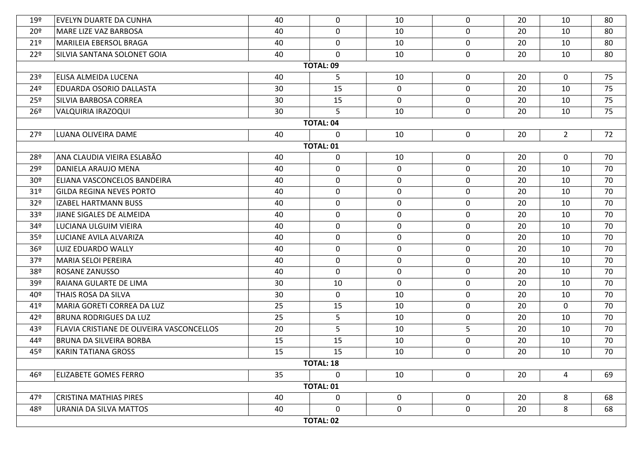| 19º             | <b>EVELYN DUARTE DA CUNHA</b>             | 40 | 0                | 10          | $\mathbf{0}$ | 20 | 10          | 80 |  |  |
|-----------------|-------------------------------------------|----|------------------|-------------|--------------|----|-------------|----|--|--|
| 20 <sup>°</sup> | MARE LIZE VAZ BARBOSA                     | 40 | $\mathbf 0$      | 10          | $\mathbf 0$  | 20 | 10          | 80 |  |  |
| $21^{\circ}$    | MARILEIA EBERSOL BRAGA                    | 40 | $\mathbf 0$      | 10          | $\mathbf 0$  | 20 | 10          | 80 |  |  |
| 22 <sup>°</sup> | SILVIA SANTANA SOLONET GOIA               | 40 | 0                | 10          | $\mathbf 0$  | 20 | 10          | 80 |  |  |
|                 |                                           |    | <b>TOTAL: 09</b> |             |              |    |             |    |  |  |
| 23º             | ELISA ALMEIDA LUCENA                      | 40 | 5                | 10          | $\mathbf 0$  | 20 | $\mathbf 0$ | 75 |  |  |
| 24º             | <b>EDUARDA OSORIO DALLASTA</b>            | 30 | 15               | $\mathbf 0$ | $\mathbf 0$  | 20 | 10          | 75 |  |  |
| 25 <sup>°</sup> | SILVIA BARBOSA CORREA                     | 30 | 15               | $\mathbf 0$ | $\mathbf 0$  | 20 | 10          | 75 |  |  |
| 26 <sup>°</sup> | VALQUIRIA IRAZOQUI                        | 30 | 5                | 10          | $\mathbf 0$  | 20 | 10          | 75 |  |  |
|                 |                                           |    | <b>TOTAL: 04</b> |             |              |    |             |    |  |  |
| 27º             | LUANA OLIVEIRA DAME                       | 40 | 0                | 10          | $\mathbf 0$  | 20 | $2^{\circ}$ | 72 |  |  |
|                 |                                           |    | <b>TOTAL: 01</b> |             |              |    |             |    |  |  |
| 28º             | ANA CLAUDIA VIEIRA ESLABÃO                | 40 | $\mathbf 0$      | 10          | $\mathbf 0$  | 20 | $\mathbf 0$ | 70 |  |  |
| 29º             | DANIELA ARAUJO MENA                       | 40 | $\pmb{0}$        | $\mathbf 0$ | $\mathbf 0$  | 20 | 10          | 70 |  |  |
| 30 <sup>°</sup> | ELIANA VASCONCELOS BANDEIRA               | 40 | 0                | $\mathbf 0$ | $\mathbf 0$  | 20 | 10          | 70 |  |  |
| 31 <sup>o</sup> | <b>GILDA REGINA NEVES PORTO</b>           | 40 | 0                | $\mathbf 0$ | $\mathbf 0$  | 20 | 10          | 70 |  |  |
| 32 <sup>o</sup> | <b>IZABEL HARTMANN BUSS</b>               | 40 | 0                | $\mathbf 0$ | $\mathbf 0$  | 20 | 10          | 70 |  |  |
| 33 <sup>°</sup> | JIANE SIGALES DE ALMEIDA                  | 40 | $\mathbf 0$      | $\mathbf 0$ | $\mathbf 0$  | 20 | 10          | 70 |  |  |
| 34º             | LUCIANA ULGUIM VIEIRA                     | 40 | 0                | $\mathbf 0$ | $\mathbf 0$  | 20 | 10          | 70 |  |  |
| 35 <sup>°</sup> | LUCIANE AVILA ALVARIZA                    | 40 | $\mathbf 0$      | $\mathbf 0$ | $\mathbf 0$  | 20 | 10          | 70 |  |  |
| 36 <sup>°</sup> | LUIZ EDUARDO WALLY                        | 40 | 0                | $\mathbf 0$ | $\mathbf 0$  | 20 | 10          | 70 |  |  |
| 37 <sup>o</sup> | MARIA SELOI PEREIRA                       | 40 | $\mathbf 0$      | $\mathbf 0$ | $\mathbf 0$  | 20 | 10          | 70 |  |  |
| 38º             | ROSANE ZANUSSO                            | 40 | $\mathbf 0$      | $\mathbf 0$ | $\mathbf 0$  | 20 | 10          | 70 |  |  |
| 39ء             | RAIANA GULARTE DE LIMA                    | 30 | 10               | $\mathbf 0$ | $\mathbf 0$  | 20 | 10          | 70 |  |  |
| 40º             | THAIS ROSA DA SILVA                       | 30 | 0                | 10          | $\mathbf 0$  | 20 | 10          | 70 |  |  |
| 41º             | MARIA GORETI CORREA DA LUZ                | 25 | 15               | 10          | $\mathbf 0$  | 20 | $\mathbf 0$ | 70 |  |  |
| 42º             | <b>BRUNA RODRIGUES DA LUZ</b>             | 25 | 5                | 10          | $\mathbf 0$  | 20 | 10          | 70 |  |  |
| 43º             | FLAVIA CRISTIANE DE OLIVEIRA VASCONCELLOS | 20 | 5                | 10          | 5            | 20 | 10          | 70 |  |  |
| 44º             | <b>BRUNA DA SILVEIRA BORBA</b>            | 15 | 15               | 10          | $\mathbf 0$  | 20 | 10          | 70 |  |  |
| 45º             | <b>KARIN TATIANA GROSS</b>                | 15 | 15               | 10          | $\mathbf 0$  | 20 | 10          | 70 |  |  |
|                 | TOTAL: 18                                 |    |                  |             |              |    |             |    |  |  |
| 46º             | <b>ELIZABETE GOMES FERRO</b>              | 35 | $\mathbf 0$      | 10          | $\mathbf 0$  | 20 | 4           | 69 |  |  |
|                 |                                           |    | <b>TOTAL: 01</b> |             |              |    |             |    |  |  |
| 47º             | <b>CRISTINA MATHIAS PIRES</b>             | 40 | $\mathbf 0$      | $\mathbf 0$ | $\mathbf 0$  | 20 | 8           | 68 |  |  |
| 48º             | URANIA DA SILVA MATTOS                    | 40 | 0                | $\mathbf 0$ | $\mathbf 0$  | 20 | 8           | 68 |  |  |
|                 |                                           |    | TOTAL: 02        |             |              |    |             |    |  |  |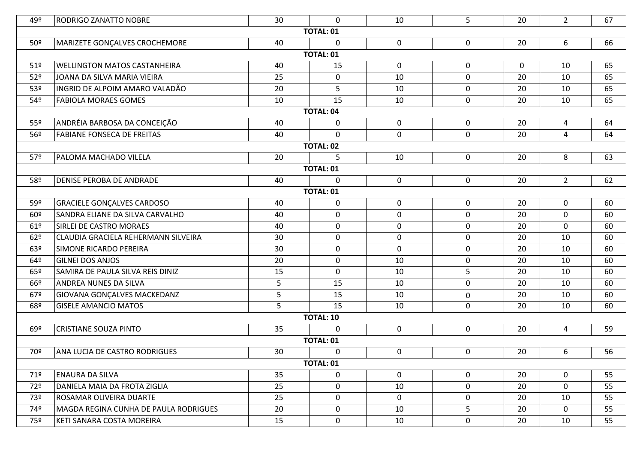| 49º             | RODRIGO ZANATTO NOBRE                 | 30 | $\mathbf{0}$     | 10          | 5           | 20          | $2^{\circ}$    | 67 |  |  |
|-----------------|---------------------------------------|----|------------------|-------------|-------------|-------------|----------------|----|--|--|
|                 |                                       |    | <b>TOTAL: 01</b> |             |             |             |                |    |  |  |
| 50º             | MARIZETE GONÇALVES CROCHEMORE         | 40 | $\mathbf 0$      | $\mathbf 0$ | 0           | 20          | 6              | 66 |  |  |
|                 |                                       |    | <b>TOTAL: 01</b> |             |             |             |                |    |  |  |
| 51 <sup>°</sup> | <b>WELLINGTON MATOS CASTANHEIRA</b>   | 40 | 15               | $\mathbf 0$ | 0           | $\mathbf 0$ | 10             | 65 |  |  |
| 52º             | JOANA DA SILVA MARIA VIEIRA           | 25 | $\pmb{0}$        | 10          | $\mathbf 0$ | 20          | 10             | 65 |  |  |
| 53º             | INGRID DE ALPOIM AMARO VALADÃO        | 20 | 5                | 10          | 0           | 20          | 10             | 65 |  |  |
| 54º             | <b>FABIOLA MORAES GOMES</b>           | 10 | 15               | 10          | $\mathbf 0$ | 20          | 10             | 65 |  |  |
|                 |                                       |    | <b>TOTAL: 04</b> |             |             |             |                |    |  |  |
| 55º             | ANDRÉIA BARBOSA DA CONCEIÇÃO          | 40 | 0                | $\mathbf 0$ | $\mathbf 0$ | 20          | 4              | 64 |  |  |
| 56º             | <b>FABIANE FONSECA DE FREITAS</b>     | 40 | $\mathbf 0$      | $\mathbf 0$ | $\mathbf 0$ | 20          | $\overline{4}$ | 64 |  |  |
|                 |                                       |    | <b>TOTAL: 02</b> |             |             |             |                |    |  |  |
| 57º             | PALOMA MACHADO VILELA                 | 20 | 5                | 10          | $\mathbf 0$ | 20          | 8              | 63 |  |  |
|                 |                                       |    | <b>TOTAL: 01</b> |             |             |             |                |    |  |  |
| 58º             | <b>DENISE PEROBA DE ANDRADE</b>       | 40 | $\mathbf 0$      | $\mathbf 0$ | $\mathbf 0$ | 20          | $2^{\circ}$    | 62 |  |  |
|                 | <b>TOTAL: 01</b>                      |    |                  |             |             |             |                |    |  |  |
| 59º             | <b>GRACIELE GONÇALVES CARDOSO</b>     | 40 | 0                | $\mathbf 0$ | 0           | 20          | $\mathbf 0$    | 60 |  |  |
| 60º             | SANDRA ELIANE DA SILVA CARVALHO       | 40 | $\pmb{0}$        | $\mathbf 0$ | $\mathbf 0$ | 20          | $\mathbf 0$    | 60 |  |  |
| 61º             | SIRLEI DE CASTRO MORAES               | 40 | $\mathbf 0$      | $\mathbf 0$ | $\mathbf 0$ | 20          | $\mathbf 0$    | 60 |  |  |
| 62°             | CLAUDIA GRACIELA REHERMANN SILVEIRA   | 30 | $\mathbf 0$      | $\mathbf 0$ | $\mathbf 0$ | 20          | 10             | 60 |  |  |
| 63º             | <b>SIMONE RICARDO PEREIRA</b>         | 30 | $\mathbf 0$      | $\mathbf 0$ | 0           | 20          | 10             | 60 |  |  |
| 64º             | <b>GILNEI DOS ANJOS</b>               | 20 | $\pmb{0}$        | 10          | $\mathbf 0$ | 20          | 10             | 60 |  |  |
| 65º             | SAMIRA DE PAULA SILVA REIS DINIZ      | 15 | $\mathbf 0$      | 10          | 5           | 20          | 10             | 60 |  |  |
| 66º             | ANDREA NUNES DA SILVA                 | 5  | 15               | 10          | $\mathbf 0$ | 20          | 10             | 60 |  |  |
| 67º             | GIOVANA GONÇALVES MACKEDANZ           | 5  | 15               | 10          | 0           | 20          | 10             | 60 |  |  |
| 68º             | <b>GISELE AMANCIO MATOS</b>           | 5  | 15               | 10          | $\mathbf 0$ | 20          | 10             | 60 |  |  |
|                 |                                       |    | <b>TOTAL: 10</b> |             |             |             |                |    |  |  |
| 69º             | <b>CRISTIANE SOUZA PINTO</b>          | 35 | $\mathbf 0$      | $\mathbf 0$ | $\mathbf 0$ | 20          | $\overline{4}$ | 59 |  |  |
|                 |                                       |    | <b>TOTAL: 01</b> |             |             |             |                |    |  |  |
| 70º             | ANA LUCIA DE CASTRO RODRIGUES         | 30 | 0                | 0           | $\mathbf 0$ | 20          | 6              | 56 |  |  |
|                 |                                       |    | <b>TOTAL: 01</b> |             |             |             |                |    |  |  |
| 71°             | ENAURA DA SILVA                       | 35 | 0                | $\mathbf 0$ | $\mathbf 0$ | 20          | $\mathbf 0$    | 55 |  |  |
| 72º             | DANIELA MAIA DA FROTA ZIGLIA          | 25 | 0                | 10          | 0           | 20          | $\mathbf 0$    | 55 |  |  |
| 73º             | ROSAMAR OLIVEIRA DUARTE               | 25 | $\mathbf 0$      | $\mathbf 0$ | $\mathbf 0$ | 20          | 10             | 55 |  |  |
| 74º             | MAGDA REGINA CUNHA DE PAULA RODRIGUES | 20 | 0                | 10          | 5           | 20          | $\mathbf 0$    | 55 |  |  |
| 75º             | KETI SANARA COSTA MOREIRA             | 15 | $\pmb{0}$        | 10          | $\mathbf 0$ | 20          | 10             | 55 |  |  |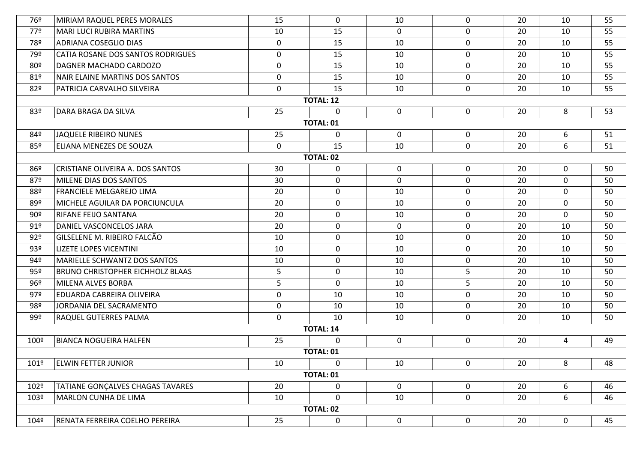| 76º  | MIRIAM RAQUEL PERES MORALES              | 15          | 0                | 10          | $\mathbf 0$      | 20 | 10             | 55 |
|------|------------------------------------------|-------------|------------------|-------------|------------------|----|----------------|----|
| 77º  | <b>MARI LUCI RUBIRA MARTINS</b>          | 10          | 15               | 0           | $\mathbf 0$      | 20 | 10             | 55 |
| 78º  | <b>ADRIANA COSEGLIO DIAS</b>             | $\mathbf 0$ | 15               | 10          | 0                | 20 | 10             | 55 |
| 79º  | <b>CATIA ROSANE DOS SANTOS RODRIGUES</b> | 0           | 15               | 10          | 0                | 20 | 10             | 55 |
| 80º  | DAGNER MACHADO CARDOZO                   | $\mathbf 0$ | 15               | 10          | 0                | 20 | 10             | 55 |
| 81º  | NAIR ELAINE MARTINS DOS SANTOS           | 0           | 15               | 10          | 0                | 20 | 10             | 55 |
| 82º  | PATRICIA CARVALHO SILVEIRA               | 0           | 15               | 10          | 0                | 20 | 10             | 55 |
|      |                                          |             | <b>TOTAL: 12</b> |             |                  |    |                |    |
| 83º  | DARA BRAGA DA SILVA                      | 25          | $\mathbf{0}$     | 0           | 0                | 20 | 8              | 53 |
|      |                                          |             | <b>TOTAL: 01</b> |             |                  |    |                |    |
| 84º  | JAQUELE RIBEIRO NUNES                    | 25          | $\mathbf 0$      | $\mathbf 0$ | 0                | 20 | 6              | 51 |
| 85º  | ELIANA MENEZES DE SOUZA                  | $\mathbf 0$ | 15               | 10          | $\mathbf 0$      | 20 | 6              | 51 |
|      |                                          |             | <b>TOTAL: 02</b> |             |                  |    |                |    |
| 86º  | CRISTIANE OLIVEIRA A. DOS SANTOS         | 30          | 0                | $\mathbf 0$ | 0                | 20 | $\mathbf 0$    | 50 |
| 87º  | MILENE DIAS DOS SANTOS                   | 30          | 0                | $\mathbf 0$ | 0                | 20 | 0              | 50 |
| 88º  | <b>FRANCIELE MELGAREJO LIMA</b>          | 20          | 0                | 10          | $\mathbf 0$      | 20 | $\mathbf 0$    | 50 |
| 89º  | MICHELE AGUILAR DA PORCIUNCULA           | 20          | 0                | 10          | 0                | 20 | 0              | 50 |
| 90°  | <b>RIFANE FEIJO SANTANA</b>              | 20          | 0                | 10          | $\mathbf 0$      | 20 | $\mathbf 0$    | 50 |
| 91°  | DANIEL VASCONCELOS JARA                  | 20          | 0                | 0           | 0                | 20 | 10             | 50 |
| 92º  | GILSELENE M. RIBEIRO FALCÃO              | 10          | 0                | 10          | 0                | 20 | 10             | 50 |
| 93º  | LIZETE LOPES VICENTINI                   | 10          | 0                | 10          | 0                | 20 | 10             | 50 |
| 94º  | <b>MARIELLE SCHWANTZ DOS SANTOS</b>      | 10          | $\mathbf 0$      | 10          | $\mathbf 0$      | 20 | 10             | 50 |
| 95º  | <b>BRUNO CHRISTOPHER EICHHOLZ BLAAS</b>  | 5           | 0                | 10          | 5                | 20 | 10             | 50 |
| 96º  | MILENA ALVES BORBA                       | 5           | $\mathbf 0$      | 10          | 5                | 20 | 10             | 50 |
| 97º  | EDUARDA CABREIRA OLIVEIRA                | $\mathbf 0$ | 10               | 10          | 0                | 20 | 10             | 50 |
| 98º  | JORDANIA DEL SACRAMENTO                  | 0           | 10               | 10          | $\mathbf 0$      | 20 | 10             | 50 |
| 99º  | <b>RAQUEL GUTERRES PALMA</b>             | $\mathbf 0$ | 10               | 10          | 0                | 20 | 10             | 50 |
|      |                                          |             | <b>TOTAL: 14</b> |             |                  |    |                |    |
| 100º | <b>BIANCA NOGUEIRA HALFEN</b>            | 25          | 0                | 0           | 0                | 20 | $\overline{4}$ | 49 |
|      |                                          |             | <b>TOTAL: 01</b> |             |                  |    |                |    |
| 101º | <b>ELWIN FETTER JUNIOR</b>               | 10          | $\mathbf 0$      | 10          | $\mathbf 0$      | 20 | 8              | 48 |
|      |                                          |             | <b>TOTAL: 01</b> |             |                  |    |                |    |
| 102º | TATIANE GONÇALVES CHAGAS TAVARES         | 20          | $\mathbf 0$      | $\mathbf 0$ | 0                | 20 | 6              | 46 |
| 103º | <b>MARLON CUNHA DE LIMA</b>              | 10          | 0                | 10          | $\boldsymbol{0}$ | 20 | 6              | 46 |
|      |                                          |             | <b>TOTAL: 02</b> |             |                  |    |                |    |
| 104º | RENATA FERREIRA COELHO PEREIRA           | 25          | $\pmb{0}$        | $\mathbf 0$ | $\mathbf 0$      | 20 | 0              | 45 |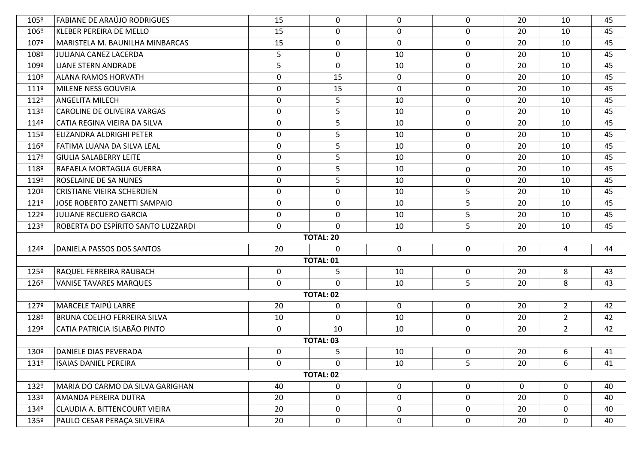| 105º          | <b>FABIANE DE ARAÚJO RODRIGUES</b> | 15               | $\mathbf 0$      | 0           | $\mathbf{0}$ | 20 | 10             | 45 |  |  |
|---------------|------------------------------------|------------------|------------------|-------------|--------------|----|----------------|----|--|--|
| 106º          | <b>KLEBER PEREIRA DE MELLO</b>     | 15               | $\mathbf 0$      | $\mathbf 0$ | $\mathbf 0$  | 20 | 10             | 45 |  |  |
| 107º          | MARISTELA M. BAUNILHA MINBARCAS    | 15               | 0                | $\mathbf 0$ | $\mathbf 0$  | 20 | 10             | 45 |  |  |
| 108º          | JULIANA CANEZ LACERDA              | 5                | $\mathbf 0$      | 10          | $\mathbf 0$  | 20 | 10             | 45 |  |  |
| 109º          | <b>LIANE STERN ANDRADE</b>         | 5                | 0                | 10          | $\mathbf 0$  | 20 | 10             | 45 |  |  |
| 110º          | ALANA RAMOS HORVATH                | $\mathbf 0$      | 15               | $\mathbf 0$ | $\mathbf 0$  | 20 | 10             | 45 |  |  |
| 1119          | MILENE NESS GOUVEIA                | $\boldsymbol{0}$ | 15               | $\mathbf 0$ | $\mathbf 0$  | 20 | 10             | 45 |  |  |
| 112º          | <b>ANGELITA MILECH</b>             | $\mathbf 0$      | 5                | 10          | $\mathbf 0$  | 20 | 10             | 45 |  |  |
| 113º          | <b>CAROLINE DE OLIVEIRA VARGAS</b> | $\mathbf 0$      | 5                | 10          | $\mathbf 0$  | 20 | 10             | 45 |  |  |
| 1149          | CATIA REGINA VIEIRA DA SILVA       | $\mathbf 0$      | 5                | 10          | $\mathbf 0$  | 20 | 10             | 45 |  |  |
| 115º          | ELIZANDRA ALDRIGHI PETER           | $\mathbf 0$      | 5                | 10          | $\mathbf 0$  | 20 | 10             | 45 |  |  |
| 116º          | FATIMA LUANA DA SILVA LEAL         | $\mathbf 0$      | 5                | 10          | $\mathbf 0$  | 20 | 10             | 45 |  |  |
| 117º          | <b>GIULIA SALABERRY LEITE</b>      | $\mathbf 0$      | 5                | 10          | $\mathbf 0$  | 20 | 10             | 45 |  |  |
| 118º          | RAFAELA MORTAGUA GUERRA            | $\pmb{0}$        | 5                | 10          | $\mathbf 0$  | 20 | 10             | 45 |  |  |
| 119º          | ROSELAINE DE SA NUNES              | $\mathbf 0$      | 5                | 10          | $\mathbf 0$  | 20 | 10             | 45 |  |  |
| 120º          | <b>CRISTIANE VIEIRA SCHERDIEN</b>  | $\mathbf 0$      | 0                | 10          | 5            | 20 | 10             | 45 |  |  |
| $121^{\circ}$ | JOSE ROBERTO ZANETTI SAMPAIO       | $\mathbf 0$      | 0                | 10          | 5            | 20 | 10             | 45 |  |  |
| 122º          | JULIANE RECUERO GARCIA             | $\mathbf 0$      | $\mathbf 0$      | 10          | 5            | 20 | 10             | 45 |  |  |
| 123º          | ROBERTA DO ESPÍRITO SANTO LUZZARDI | $\mathbf 0$      | $\mathbf 0$      | 10          | 5            | 20 | 10             | 45 |  |  |
|               |                                    |                  | <b>TOTAL: 20</b> |             |              |    |                |    |  |  |
| 124º          | DANIELA PASSOS DOS SANTOS          | 20               | $\mathbf{0}$     | $\mathbf 0$ | $\mathbf 0$  | 20 | 4              | 44 |  |  |
|               |                                    |                  | <b>TOTAL: 01</b> |             |              |    |                |    |  |  |
| 125º          | <b>RAQUEL FERREIRA RAUBACH</b>     | $\mathbf 0$      | 5                | 10          | $\mathbf 0$  | 20 | 8              | 43 |  |  |
| 126º          | <b>VANISE TAVARES MARQUES</b>      | $\mathbf 0$      | $\mathbf{0}$     | 10          | 5            | 20 | 8              | 43 |  |  |
|               |                                    |                  | <b>TOTAL: 02</b> |             |              |    |                |    |  |  |
| 127º          | MARCELE TAIPÚ LARRE                | 20               | 0                | $\mathbf 0$ | $\mathbf 0$  | 20 | $\overline{2}$ | 42 |  |  |
| 128º          | <b>BRUNA COELHO FERREIRA SILVA</b> | 10               | 0                | 10          | $\mathbf 0$  | 20 | $\overline{2}$ | 42 |  |  |
| 129º          | CATIA PATRICIA ISLABÃO PINTO       | $\mathbf 0$      | 10               | 10          | $\mathbf 0$  | 20 | $\overline{2}$ | 42 |  |  |
|               |                                    |                  | TOTAL: 03        |             |              |    |                |    |  |  |
| 130º          | DANIELE DIAS PEVERADA              | $\mathbf 0$      | 5                | 10          | $\mathbf 0$  | 20 | 6              | 41 |  |  |
| 131º          | <b>ISAIAS DANIEL PEREIRA</b>       | 0                | 0                | 10          | 5            | 20 | 6              | 41 |  |  |
|               | <b>TOTAL: 02</b>                   |                  |                  |             |              |    |                |    |  |  |
| 132º          | MARIA DO CARMO DA SILVA GARIGHAN   | 40               | $\boldsymbol{0}$ | $\mathbf 0$ | $\mathbf 0$  | 0  | 0              | 40 |  |  |
| 133º          | AMANDA PEREIRA DUTRA               | 20               | $\mathbf 0$      | $\mathbf 0$ | $\mathbf 0$  | 20 | $\mathbf 0$    | 40 |  |  |
| 134º          | CLAUDIA A. BITTENCOURT VIEIRA      | 20               | 0                | $\mathbf 0$ | $\mathbf 0$  | 20 | 0              | 40 |  |  |
| 135º          | PAULO CESAR PERAÇA SILVEIRA        | 20               | 0                | $\mathbf 0$ | $\mathbf 0$  | 20 | $\mathbf 0$    | 40 |  |  |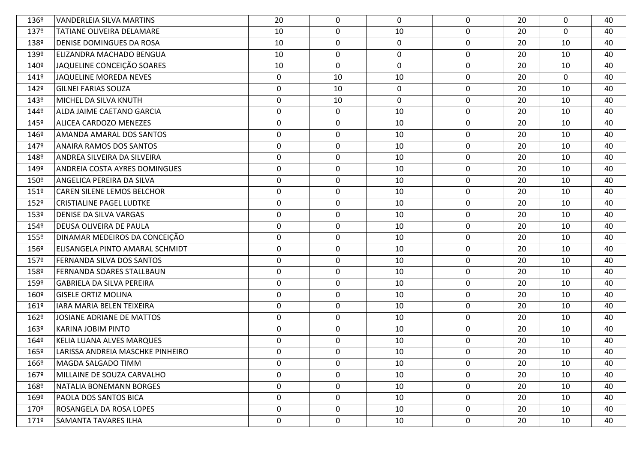| 136º | <b>VANDERLEIA SILVA MARTINS</b>  | 20               | $\mathbf 0$      | $\Omega$    | $\mathbf 0$  | 20 | 0           | 40 |
|------|----------------------------------|------------------|------------------|-------------|--------------|----|-------------|----|
| 137º | <b>TATIANE OLIVEIRA DELAMARE</b> | 10               | $\mathbf 0$      | 10          | $\mathbf 0$  | 20 | $\mathbf 0$ | 40 |
| 138º | DENISE DOMINGUES DA ROSA         | 10               | 0                | 0           | $\mathbf 0$  | 20 | 10          | 40 |
| 139º | ELIZANDRA MACHADO BENGUA         | 10               | 0                | $\mathbf 0$ | $\mathbf 0$  | 20 | 10          | 40 |
| 140º | JAQUELINE CONCEIÇÃO SOARES       | 10               | 0                | 0           | $\mathbf 0$  | 20 | 10          | 40 |
| 141º | JAQUELINE MOREDA NEVES           | $\mathbf 0$      | 10               | 10          | $\mathbf 0$  | 20 | $\mathbf 0$ | 40 |
| 142º | <b>GILNEI FARIAS SOUZA</b>       | $\mathbf 0$      | 10               | 0           | $\mathbf 0$  | 20 | 10          | 40 |
| 143º | MICHEL DA SILVA KNUTH            | $\mathbf 0$      | 10               | 0           | $\mathbf 0$  | 20 | 10          | 40 |
| 144º | ALDA JAIME CAETANO GARCIA        | $\mathbf 0$      | $\boldsymbol{0}$ | 10          | $\mathbf 0$  | 20 | 10          | 40 |
| 145º | ALICEA CARDOZO MENEZES           | $\mathbf 0$      | $\mathbf 0$      | 10          | $\mathbf 0$  | 20 | 10          | 40 |
| 146º | <b>AMANDA AMARAL DOS SANTOS</b>  | $\mathbf 0$      | 0                | 10          | 0            | 20 | 10          | 40 |
| 147º | ANAIRA RAMOS DOS SANTOS          | 0                | 0                | 10          | $\mathbf 0$  | 20 | 10          | 40 |
| 148º | ANDREA SILVEIRA DA SILVEIRA      | $\mathbf 0$      | 0                | 10          | $\mathbf 0$  | 20 | 10          | 40 |
| 149º | ANDREIA COSTA AYRES DOMINGUES    | 0                | 0                | 10          | 0            | 20 | 10          | 40 |
| 150º | <b>ANGELICA PEREIRA DA SILVA</b> | $\mathbf 0$      | 0                | 10          | 0            | 20 | 10          | 40 |
| 151º | CAREN SILENE LEMOS BELCHOR       | $\mathbf 0$      | $\mathbf 0$      | 10          | $\mathbf 0$  | 20 | 10          | 40 |
| 152º | <b>CRISTIALINE PAGEL LUDTKE</b>  | $\mathbf 0$      | 0                | 10          | $\mathbf 0$  | 20 | 10          | 40 |
| 153º | <b>DENISE DA SILVA VARGAS</b>    | $\pmb{0}$        | $\pmb{0}$        | 10          | $\mathbf 0$  | 20 | 10          | 40 |
| 154º | DEUSA OLIVEIRA DE PAULA          | 0                | 0                | 10          | $\mathbf 0$  | 20 | 10          | 40 |
| 155º | DINAMAR MEDEIROS DA CONCEIÇÃO    | $\mathbf 0$      | 0                | 10          | $\mathbf 0$  | 20 | 10          | 40 |
| 156º | ELISANGELA PINTO AMARAL SCHMIDT  | $\mathbf 0$      | 0                | 10          | 0            | 20 | 10          | 40 |
| 157º | FERNANDA SILVA DOS SANTOS        | $\pmb{0}$        | $\pmb{0}$        | 10          | $\mathbf 0$  | 20 | 10          | 40 |
| 158º | <b>FERNANDA SOARES STALLBAUN</b> | 0                | 0                | 10          | $\mathbf 0$  | 20 | 10          | 40 |
| 159º | <b>GABRIELA DA SILVA PEREIRA</b> | $\mathbf 0$      | 0                | 10          | $\mathbf 0$  | 20 | 10          | 40 |
| 160º | <b>GISELE ORTIZ MOLINA</b>       | $\mathbf 0$      | 0                | 10          | $\mathbf 0$  | 20 | 10          | 40 |
| 161º | IARA MARIA BELEN TEIXEIRA        | $\mathbf 0$      | $\mathbf 0$      | 10          | $\mathbf 0$  | 20 | 10          | 40 |
| 162º | JOSIANE ADRIANE DE MATTOS        | $\boldsymbol{0}$ | 0                | 10          | $\mathbf 0$  | 20 | 10          | 40 |
| 163º | <b>KARINA JOBIM PINTO</b>        | $\mathbf 0$      | 0                | 10          | $\mathbf 0$  | 20 | 10          | 40 |
| 164º | KELIA LUANA ALVES MARQUES        | $\mathbf 0$      | 0                | 10          | $\mathbf 0$  | 20 | 10          | 40 |
| 165º | LARISSA ANDREIA MASCHKE PINHEIRO | $\mathbf 0$      | 0                | 10          | 0            | 20 | 10          | 40 |
| 166º | MAGDA SALGADO TIMM               | 0                | 0                | 10          | $\mathbf{0}$ | 20 | 10          | 40 |
| 167º | MILLAINE DE SOUZA CARVALHO       | $\mathbf 0$      | $\mathbf 0$      | 10          | $\mathbf 0$  | 20 | 10          | 40 |
| 168º | NATALIA BONEMANN BORGES          | $\mathbf 0$      | 0                | 10          | $\mathbf 0$  | 20 | 10          | 40 |
| 169º | PAOLA DOS SANTOS BICA            | $\mathbf 0$      | 0                | 10          | $\mathbf 0$  | 20 | 10          | 40 |
| 170º | <b>ROSANGELA DA ROSA LOPES</b>   | 0                | 0                | 10          | 0            | 20 | 10          | 40 |
| 171º | SAMANTA TAVARES ILHA             | $\mathbf 0$      | 0                | 10          | $\mathbf 0$  | 20 | 10          | 40 |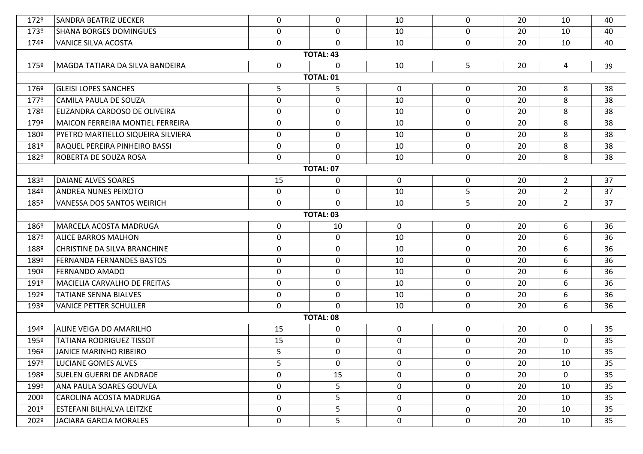| 172º             | <b>SANDRA BEATRIZ UECKER</b>        | 0           | $\mathbf 0$      | 10          | $\mathbf 0$ | 20 | 10             | 40 |  |  |
|------------------|-------------------------------------|-------------|------------------|-------------|-------------|----|----------------|----|--|--|
| 173º             | <b>SHANA BORGES DOMINGUES</b>       | 0           | $\mathbf 0$      | 10          | $\mathbf 0$ | 20 | 10             | 40 |  |  |
| 174º             | <b>VANICE SILVA ACOSTA</b>          | 0           | $\Omega$         | 10          | $\mathbf 0$ | 20 | 10             | 40 |  |  |
|                  |                                     |             | <b>TOTAL: 43</b> |             |             |    |                |    |  |  |
| 175º             | MAGDA TATIARA DA SILVA BANDEIRA     | 0           | $\Omega$         | 10          | 5           | 20 | $\overline{4}$ | 39 |  |  |
|                  |                                     |             | <b>TOTAL: 01</b> |             |             |    |                |    |  |  |
| 176º             | <b>GLEISI LOPES SANCHES</b>         | 5           | 5                | $\mathbf 0$ | $\mathbf 0$ | 20 | 8              | 38 |  |  |
| 177º             | CAMILA PAULA DE SOUZA               | 0           | $\mathbf 0$      | 10          | $\mathbf 0$ | 20 | 8              | 38 |  |  |
| 178º             | ELIZANDRA CARDOSO DE OLIVEIRA       | 0           | 0                | 10          | $\mathbf 0$ | 20 | 8              | 38 |  |  |
| 179º             | MAICON FERREIRA MONTIEL FERREIRA    | $\pmb{0}$   | $\mathbf 0$      | 10          | $\mathbf 0$ | 20 | 8              | 38 |  |  |
| 180º             | PYETRO MARTIELLO SIQUEIRA SILVIERA  | $\mathbf 0$ | 0                | 10          | $\mathbf 0$ | 20 | 8              | 38 |  |  |
| 181º             | RAQUEL PEREIRA PINHEIRO BASSI       | 0           | 0                | 10          | $\mathbf 0$ | 20 | 8              | 38 |  |  |
| 182º             | ROBERTA DE SOUZA ROSA               | 0           | 0                | 10          | $\mathbf 0$ | 20 | 8              | 38 |  |  |
|                  |                                     |             | <b>TOTAL: 07</b> |             |             |    |                |    |  |  |
| 183º             | <b>DAIANE ALVES SOARES</b>          | 15          | 0                | 0           | $\mathbf 0$ | 20 | $2^{\circ}$    | 37 |  |  |
| 184º             | <b>ANDREA NUNES PEIXOTO</b>         | 0           | $\mathbf 0$      | 10          | 5           | 20 | $\overline{2}$ | 37 |  |  |
| 185º             | VANESSA DOS SANTOS WEIRICH          | 0           | $\Omega$         | 10          | 5           | 20 | $2^{\circ}$    | 37 |  |  |
| <b>TOTAL: 03</b> |                                     |             |                  |             |             |    |                |    |  |  |
| 186º             | MARCELA ACOSTA MADRUGA              | 0           | 10               | $\mathbf 0$ | $\mathbf 0$ | 20 | 6              | 36 |  |  |
| 187º             | <b>ALICE BARROS MALHON</b>          | 0           | $\mathbf 0$      | 10          | $\mathbf 0$ | 20 | 6              | 36 |  |  |
| 188º             | CHRISTINE DA SILVA BRANCHINE        | 0           | 0                | 10          | $\mathbf 0$ | 20 | 6              | 36 |  |  |
| 189º             | <b>FERNANDA FERNANDES BASTOS</b>    | 0           | $\mathbf 0$      | 10          | $\mathbf 0$ | 20 | 6              | 36 |  |  |
| 190º             | <b>FERNANDO AMADO</b>               | 0           | 0                | 10          | $\mathbf 0$ | 20 | 6              | 36 |  |  |
| 191º             | <b>MACIELIA CARVALHO DE FREITAS</b> | 0           | 0                | 10          | $\mathbf 0$ | 20 | 6              | 36 |  |  |
| 192º             | <b>TATIANE SENNA BIALVES</b>        | 0           | 0                | 10          | $\mathbf 0$ | 20 | 6              | 36 |  |  |
| 193º             | <b>VANICE PETTER SCHULLER</b>       | 0           | 0                | 10          | $\mathbf 0$ | 20 | 6              | 36 |  |  |
|                  |                                     |             | <b>TOTAL: 08</b> |             |             |    |                |    |  |  |
| 194º             | ALINE VEIGA DO AMARILHO             | 15          | 0                | 0           | $\mathbf 0$ | 20 | $\mathbf 0$    | 35 |  |  |
| 195º             | <b>TATIANA RODRIGUEZ TISSOT</b>     | 15          | 0                | 0           | $\mathbf 0$ | 20 | 0              | 35 |  |  |
| 196º             | <b>JANICE MARINHO RIBEIRO</b>       | 5           | 0                | 0           | 0           | 20 | 10             | 35 |  |  |
| 197º             | LUCIANE GOMES ALVES                 | 5           | 0                | 0           | $\mathbf 0$ | 20 | 10             | 35 |  |  |
| 198º             | <b>SUELEN GUERRI DE ANDRADE</b>     | $\pmb{0}$   | 15               | $\mathbf 0$ | $\mathbf 0$ | 20 | $\mathbf 0$    | 35 |  |  |
| 199º             | ANA PAULA SOARES GOUVEA             | 0           | 5                | 0           | $\mathbf 0$ | 20 | 10             | 35 |  |  |
| 200º             | CAROLINA ACOSTA MADRUGA             | 0           | 5                | $\mathbf 0$ | $\mathbf 0$ | 20 | 10             | 35 |  |  |
| 201º             | <b>ESTEFANI BILHALVA LEITZKE</b>    | 0           | 5                | $\mathbf 0$ | 0           | 20 | 10             | 35 |  |  |
| 202º             | <b>JACIARA GARCIA MORALES</b>       | 0           | 5                | 0           | $\mathbf 0$ | 20 | 10             | 35 |  |  |
|                  |                                     |             |                  |             |             |    |                |    |  |  |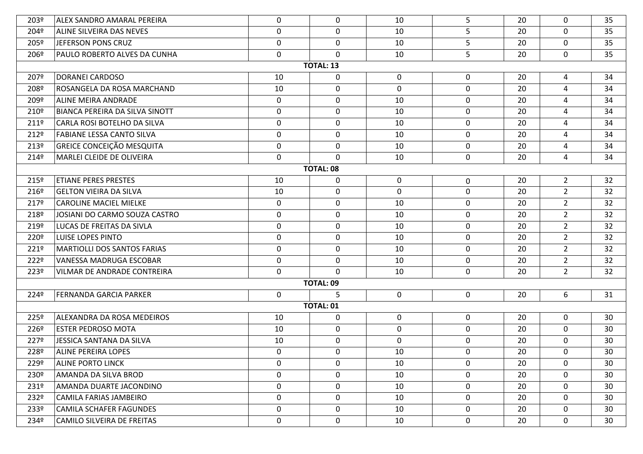| 203º             | ALEX SANDRO AMARAL PEREIRA            | 0           | 0                | 10          | 5           | 20 | 0              | 35 |
|------------------|---------------------------------------|-------------|------------------|-------------|-------------|----|----------------|----|
| 204º             | ALINE SILVEIRA DAS NEVES              | 0           | $\mathbf 0$      | 10          | 5           | 20 | $\mathbf 0$    | 35 |
| 205º             | JEFERSON PONS CRUZ                    | 0           | $\mathbf 0$      | 10          | 5           | 20 | $\mathbf 0$    | 35 |
| 206º             | PAULO ROBERTO ALVES DA CUNHA          | $\mathbf 0$ | $\mathbf 0$      | 10          | 5           | 20 | $\mathbf 0$    | 35 |
|                  |                                       |             | <b>TOTAL: 13</b> |             |             |    |                |    |
| 207º             | DORANEI CARDOSO                       | 10          | $\mathbf 0$      | 0           | $\mathbf 0$ | 20 | 4              | 34 |
| 208º             | ROSANGELA DA ROSA MARCHAND            | 10          | 0                | $\mathbf 0$ | $\mathbf 0$ | 20 | $\overline{a}$ | 34 |
| 209º             | ALINE MEIRA ANDRADE                   | 0           | $\mathbf 0$      | 10          | $\mathbf 0$ | 20 | $\overline{a}$ | 34 |
| 210º             | <b>BIANCA PEREIRA DA SILVA SINOTT</b> | $\mathbf 0$ | 0                | 10          | $\mathbf 0$ | 20 | $\overline{a}$ | 34 |
| 211 <sup>°</sup> | CARLA ROSI BOTELHO DA SILVA           | 0           | 0                | 10          | $\mathbf 0$ | 20 | $\overline{a}$ | 34 |
| 212º             | <b>FABIANE LESSA CANTO SILVA</b>      | $\mathbf 0$ | 0                | 10          | 0           | 20 | $\overline{a}$ | 34 |
| 213º             | <b>GREICE CONCEIÇÃO MESQUITA</b>      | 0           | 0                | 10          | $\mathbf 0$ | 20 | $\overline{4}$ | 34 |
| 214º             | MARLEI CLEIDE DE OLIVEIRA             | 0           | 0                | 10          | $\mathbf 0$ | 20 | $\overline{4}$ | 34 |
|                  |                                       |             | <b>TOTAL: 08</b> |             |             |    |                |    |
| 215º             | <b>ETIANE PERES PRESTES</b>           | 10          | 0                | $\mathbf 0$ | $\mathbf 0$ | 20 | $\overline{2}$ | 32 |
| 216º             | <b>GELTON VIEIRA DA SILVA</b>         | 10          | $\mathbf 0$      | $\mathbf 0$ | $\mathbf 0$ | 20 | $2^{\circ}$    | 32 |
| 217º             | <b>CAROLINE MACIEL MIELKE</b>         | $\mathbf 0$ | 0                | 10          | $\mathbf 0$ | 20 | $2^{\circ}$    | 32 |
| 218º             | JOSIANI DO CARMO SOUZA CASTRO         | 0           | 0                | 10          | $\mathbf 0$ | 20 | $\overline{2}$ | 32 |
| 219º             | LUCAS DE FREITAS DA SIVLA             | $\pmb{0}$   | 0                | 10          | $\mathbf 0$ | 20 | $2^{\circ}$    | 32 |
| 220 <sup>o</sup> | <b>LUISE LOPES PINTO</b>              | 0           | $\mathbf 0$      | 10          | $\mathbf 0$ | 20 | $2^{\circ}$    | 32 |
| 221º             | <b>MARTIOLLI DOS SANTOS FARIAS</b>    | $\mathbf 0$ | 0                | 10          | $\mathbf 0$ | 20 | $2^{\circ}$    | 32 |
| 222º             | <b>VANESSA MADRUGA ESCOBAR</b>        | $\pmb{0}$   | $\mathbf 0$      | 10          | $\mathbf 0$ | 20 | $2^{\circ}$    | 32 |
| 223º             | <b>VILMAR DE ANDRADE CONTREIRA</b>    | 0           | $\Omega$         | 10          | $\mathbf 0$ | 20 | $\overline{2}$ | 32 |
|                  |                                       |             | <b>TOTAL: 09</b> |             |             |    |                |    |
| 224º             | FERNANDA GARCIA PARKER                | 0           | 5                | 0           | $\mathbf 0$ | 20 | 6              | 31 |
|                  |                                       |             | <b>TOTAL: 01</b> |             |             |    |                |    |
| 225º             | ALEXANDRA DA ROSA MEDEIROS            | 10          | $\mathbf 0$      | $\mathbf 0$ | $\mathbf 0$ | 20 | $\mathbf 0$    | 30 |
| 226º             | <b>ESTER PEDROSO MOTA</b>             | 10          | $\mathbf 0$      | $\mathbf 0$ | $\mathbf 0$ | 20 | $\mathbf 0$    | 30 |
| 227º             | JESSICA SANTANA DA SILVA              | 10          | $\mathbf 0$      | $\mathbf 0$ | $\mathbf 0$ | 20 | 0              | 30 |
| 228º             | <b>ALINE PEREIRA LOPES</b>            | 0           | $\mathbf 0$      | 10          | $\mathbf 0$ | 20 | $\mathbf 0$    | 30 |
| 229º             | <b>ALINE PORTO LINCK</b>              | 0           | 0                | 10          | 0           | 20 | 0              | 30 |
| 230º             | AMANDA DA SILVA BROD                  | 0           | $\mathbf 0$      | 10          | $\mathbf 0$ | 20 | $\mathbf 0$    | 30 |
| 231º             | AMANDA DUARTE JACONDINO               | 0           | $\mathbf 0$      | 10          | $\mathbf 0$ | 20 | $\mathbf 0$    | 30 |
| 232º             | CAMILA FARIAS JAMBEIRO                | 0           | $\mathbf 0$      | 10          | $\mathbf 0$ | 20 | $\mathbf 0$    | 30 |
| 233º             | <b>CAMILA SCHAFER FAGUNDES</b>        | 0           | 0                | 10          | $\mathbf 0$ | 20 | $\mathbf 0$    | 30 |
| 234º             | <b>CAMILO SILVEIRA DE FREITAS</b>     | 0           | $\mathbf 0$      | 10          | $\mathbf 0$ | 20 | $\mathbf 0$    | 30 |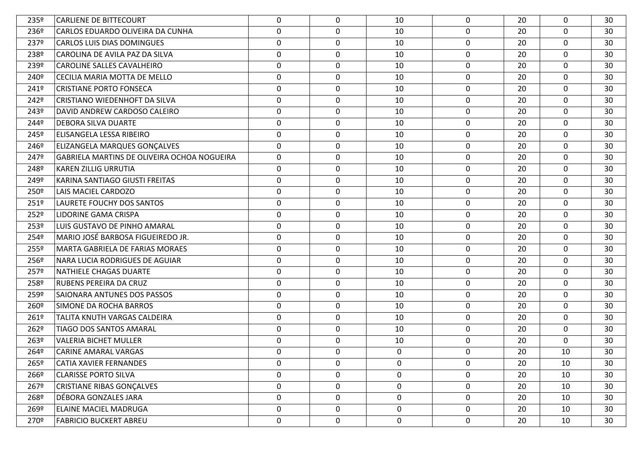| 235º             | <b>CARLIENE DE BITTECOURT</b>               | 0                | $\mathbf 0$ | 10          | $\mathbf 0$ | 20 | 0           | 30 |
|------------------|---------------------------------------------|------------------|-------------|-------------|-------------|----|-------------|----|
| 236º             | CARLOS EDUARDO OLIVEIRA DA CUNHA            | $\mathbf 0$      | 0           | 10          | $\mathbf 0$ | 20 | 0           | 30 |
| 237º             | <b>CARLOS LUIS DIAS DOMINGUES</b>           | $\mathbf 0$      | 0           | 10          | $\mathbf 0$ | 20 | 0           | 30 |
| 238º             | CAROLINA DE AVILA PAZ DA SILVA              | $\mathbf 0$      | 0           | 10          | $\mathbf 0$ | 20 | 0           | 30 |
| 239º             | CAROLINE SALLES CAVALHEIRO                  | $\mathbf 0$      | 0           | 10          | 0           | 20 | 0           | 30 |
| 240º             | CECILIA MARIA MOTTA DE MELLO                | $\mathbf 0$      | $\mathbf 0$ | 10          | $\mathbf 0$ | 20 | $\mathbf 0$ | 30 |
| 241º             | <b>CRISTIANE PORTO FONSECA</b>              | $\mathbf 0$      | 0           | 10          | 0           | 20 | 0           | 30 |
| 242º             | CRISTIANO WIEDENHOFT DA SILVA               | $\mathbf 0$      | 0           | 10          | $\mathbf 0$ | 20 | 0           | 30 |
| 243º             | DAVID ANDREW CARDOSO CALEIRO                | $\mathbf 0$      | 0           | 10          | 0           | 20 | 0           | 30 |
| 244º             | DEBORA SILVA DUARTE                         | 0                | 0           | 10          | $\mathbf 0$ | 20 | 0           | 30 |
| 245º             | ELISANGELA LESSA RIBEIRO                    | $\mathbf 0$      | 0           | 10          | 0           | 20 | 0           | 30 |
| 246º             | ELIZANGELA MARQUES GONÇALVES                | 0                | 0           | 10          | $\mathbf 0$ | 20 | 0           | 30 |
| 247º             | GABRIELA MARTINS DE OLIVEIRA OCHOA NOGUEIRA | $\mathbf 0$      | 0           | 10          | 0           | 20 | 0           | 30 |
| 248º             | KAREN ZILLIG URRUTIA                        | 0                | 0           | 10          | $\mathbf 0$ | 20 | 0           | 30 |
| 249º             | KARINA SANTIAGO GIUSTI FREITAS              | $\mathbf 0$      | 0           | 10          | 0           | 20 | 0           | 30 |
| 250 <sup>o</sup> | <b>LAIS MACIEL CARDOZO</b>                  | $\mathbf 0$      | 0           | 10          | $\mathbf 0$ | 20 | 0           | 30 |
| 251º             | LAURETE FOUCHY DOS SANTOS                   | $\mathbf 0$      | 0           | 10          | 0           | 20 | 0           | 30 |
| 252º             | LIDORINE GAMA CRISPA                        | $\mathbf 0$      | $\mathbf 0$ | 10          | $\mathbf 0$ | 20 | $\mathbf 0$ | 30 |
| 253º             | LUIS GUSTAVO DE PINHO AMARAL                | $\mathbf 0$      | 0           | 10          | 0           | 20 | 0           | 30 |
| 254º             | MARIO JOSÉ BARBOSA FIGUEIREDO JR.           | $\mathbf 0$      | 0           | 10          | $\mathbf 0$ | 20 | $\mathbf 0$ | 30 |
| 255º             | MARTA GABRIELA DE FARIAS MORAES             | 0                | 0           | 10          | 0           | 20 | 0           | 30 |
| 256º             | NARA LUCIA RODRIGUES DE AGUIAR              | $\mathbf 0$      | $\mathbf 0$ | 10          | $\mathbf 0$ | 20 | $\mathbf 0$ | 30 |
| 257º             | NATHIELE CHAGAS DUARTE                      | 0                | 0           | 10          | $\mathbf 0$ | 20 | 0           | 30 |
| 258º             | <b>RUBENS PEREIRA DA CRUZ</b>               | $\mathbf 0$      | 0           | 10          | $\mathbf 0$ | 20 | $\mathbf 0$ | 30 |
| 259º             | SAIONARA ANTUNES DOS PASSOS                 | $\mathbf 0$      | 0           | 10          | $\mathbf 0$ | 20 | 0           | 30 |
| 260 <sup>o</sup> | SIMONE DA ROCHA BARROS                      | $\mathbf 0$      | 0           | 10          | $\mathbf 0$ | 20 | $\mathbf 0$ | 30 |
| 261º             | TALITA KNUTH VARGAS CALDEIRA                | $\boldsymbol{0}$ | 0           | 10          | 0           | 20 | 0           | 30 |
| 262º             | TIAGO DOS SANTOS AMARAL                     | $\mathbf 0$      | 0           | 10          | $\mathbf 0$ | 20 | 0           | 30 |
| 263º             | <b>VALERIA BICHET MULLER</b>                | $\boldsymbol{0}$ | 0           | 10          | 0           | 20 | 0           | 30 |
| 264º             | CARINE AMARAL VARGAS                        | 0                | 0           | 0           | 0           | 20 | 10          | 30 |
| 265º             | <b>CATIA XAVIER FERNANDES</b>               | $\mathbf 0$      | 0           | 0           | $\mathbf 0$ | 20 | 10          | 30 |
| 266º             | <b>CLARISSE PORTO SILVA</b>                 | $\mathbf 0$      | $\mathbf 0$ | $\mathbf 0$ | $\mathbf 0$ | 20 | 10          | 30 |
| 267º             | <b>CRISTIANE RIBAS GONÇALVES</b>            | $\mathbf 0$      | 0           | $\mathbf 0$ | $\mathbf 0$ | 20 | 10          | 30 |
| 268º             | DÉBORA GONZALES JARA                        | $\mathbf 0$      | $\mathbf 0$ | $\mathbf 0$ | $\mathbf 0$ | 20 | 10          | 30 |
| 269º             | <b>ELAINE MACIEL MADRUGA</b>                | $\mathbf 0$      | 0           | 0           | $\mathbf 0$ | 20 | 10          | 30 |
| 270º             | <b>FABRICIO BUCKERT ABREU</b>               | $\mathbf 0$      | $\mathbf 0$ | $\mathbf 0$ | $\mathbf 0$ | 20 | 10          | 30 |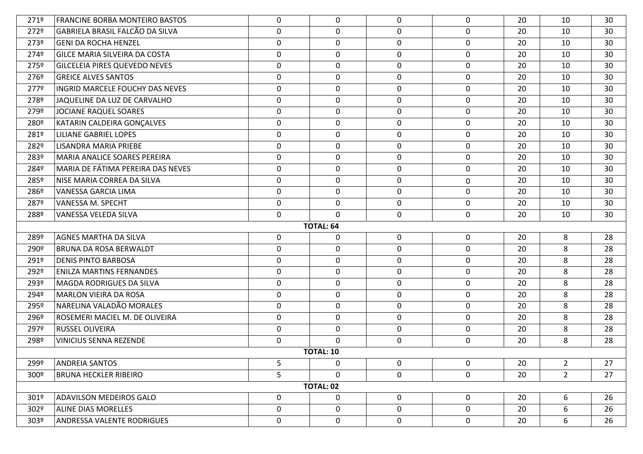| 271º             | <b>FRANCINE BORBA MONTEIRO BASTOS</b>                                                     | 0           | 0                | 0           | $\mathbf 0$ | 20 | 10          | 30 |  |  |
|------------------|-------------------------------------------------------------------------------------------|-------------|------------------|-------------|-------------|----|-------------|----|--|--|
| 272º             | <b>GABRIELA BRASIL FALCÃO DA SILVA</b>                                                    | 0           | $\mathbf 0$      | $\mathbf 0$ | $\mathbf 0$ | 20 | 10          | 30 |  |  |
| 273º             | <b>GENI DA ROCHA HENZEL</b>                                                               | $\mathbf 0$ | $\mathbf 0$      | $\mathbf 0$ | $\mathbf 0$ | 20 | 10          | 30 |  |  |
| 274º             | GILCE MARIA SILVEIRA DA COSTA                                                             | 0           | $\mathbf 0$      | $\mathbf 0$ | $\mathbf 0$ | 20 | 10          | 30 |  |  |
| 275º             | <b>GILCELEIA PIRES QUEVEDO NEVES</b>                                                      | $\mathbf 0$ | $\mathbf 0$      | $\mathbf 0$ | $\mathbf 0$ | 20 | 10          | 30 |  |  |
| 276º             | <b>GREICE ALVES SANTOS</b>                                                                | 0           | $\mathbf 0$      | $\mathbf 0$ | $\mathbf 0$ | 20 | 10          | 30 |  |  |
| 277º             | INGRID MARCELE FOUCHY DAS NEVES                                                           | $\mathbf 0$ | 0                | $\mathbf 0$ | $\mathbf 0$ | 20 | 10          | 30 |  |  |
| 278º             | JAQUELINE DA LUZ DE CARVALHO                                                              | 0           | $\mathbf 0$      | $\mathbf 0$ | $\mathbf 0$ | 20 | 10          | 30 |  |  |
| 279º             | <b>JOCIANE RAQUEL SOARES</b>                                                              | $\mathbf 0$ | 0                | $\mathbf 0$ | $\mathbf 0$ | 20 | 10          | 30 |  |  |
| 280 <sup>o</sup> | KATARIN CALDEIRA GONÇALVES                                                                | $\pmb{0}$   | $\mathbf 0$      | $\mathbf 0$ | $\mathbf 0$ | 20 | 10          | 30 |  |  |
| 281º             | <b>LILIANE GABRIEL LOPES</b>                                                              | $\mathbf 0$ | 0                | $\mathbf 0$ | $\mathbf 0$ | 20 | 10          | 30 |  |  |
| 282º             | LISANDRA MARIA PRIEBE                                                                     | $\pmb{0}$   | $\mathbf 0$      | $\mathbf 0$ | $\mathbf 0$ | 20 | 10          | 30 |  |  |
| 283º             | <b>MARIA ANALICE SOARES PEREIRA</b>                                                       | $\mathbf 0$ | 0                | $\mathbf 0$ | 0           | 20 | 10          | 30 |  |  |
| 284º             | MARIA DE FÁTIMA PEREIRA DAS NEVES                                                         | $\pmb{0}$   | $\mathbf 0$      | $\mathbf 0$ | $\mathbf 0$ | 20 | 10          | 30 |  |  |
| 285º             | NISE MARIA CORREA DA SILVA                                                                | $\mathbf 0$ | 0                | $\mathbf 0$ | $\mathbf 0$ | 20 | 10          | 30 |  |  |
| 286º             | <b>VANESSA GARCIA LIMA</b>                                                                | $\pmb{0}$   | $\mathbf 0$      | $\mathbf 0$ | $\mathbf 0$ | 20 | 10          | 30 |  |  |
| 287º             | VANESSA M. SPECHT                                                                         | 0           | 0                | $\mathbf 0$ | $\mathbf 0$ | 20 | 10          | 30 |  |  |
| 288º             | VANESSA VELEDA SILVA                                                                      | $\mathbf 0$ | $\mathbf 0$      | $\mathbf 0$ | $\mathbf 0$ | 20 | 10          | 30 |  |  |
|                  |                                                                                           |             | <b>TOTAL: 64</b> |             |             |    |             |    |  |  |
| 289º             | <b>AGNES MARTHA DA SILVA</b>                                                              | $\mathbf 0$ | 0                | $\mathbf 0$ | $\mathbf 0$ | 20 | 8           | 28 |  |  |
| 290º             | <b>BRUNA DA ROSA BERWALDT</b>                                                             | 0           | 0                | $\mathbf 0$ | $\mathbf 0$ | 20 | 8           | 28 |  |  |
| 291º             | <b>DENIS PINTO BARBOSA</b>                                                                | 0           | $\mathbf 0$      | $\mathbf 0$ | $\mathbf 0$ | 20 | 8           | 28 |  |  |
| 292º             | <b>ENILZA MARTINS FERNANDES</b>                                                           | $\mathbf 0$ | 0                | $\mathbf 0$ | $\mathbf 0$ | 20 | 8           | 28 |  |  |
| 293º             | <b>MAGDA RODRIGUES DA SILVA</b>                                                           | 0           | $\mathbf 0$      | $\mathbf 0$ | $\mathbf 0$ | 20 | 8           | 28 |  |  |
| 294º             | <b>MARLON VIEIRA DA ROSA</b>                                                              | $\mathbf 0$ | 0                | $\mathbf 0$ | $\mathbf 0$ | 20 | 8           | 28 |  |  |
| 295º             | NARELINA VALADÃO MORALES                                                                  | $\pmb{0}$   | $\mathbf 0$      | $\mathbf 0$ | $\mathbf 0$ | 20 | 8           | 28 |  |  |
| 296º             | ROSEMERI MACIEL M. DE OLIVEIRA                                                            | $\mathbf 0$ | 0                | $\mathbf 0$ | $\mathbf 0$ | 20 | 8           | 28 |  |  |
| 297º             | <b>RUSSEL OLIVEIRA</b>                                                                    | $\pmb{0}$   | $\mathbf 0$      | $\mathbf 0$ | $\mathbf 0$ | 20 | 8           | 28 |  |  |
| 298º             | <b>VINICIUS SENNA REZENDE</b>                                                             | $\mathbf 0$ | 0                | $\mathbf 0$ | $\mathbf 0$ | 20 | 8           | 28 |  |  |
|                  |                                                                                           |             | <b>TOTAL: 10</b> |             |             |    |             |    |  |  |
| 299º             | 5<br>$\mathbf 0$<br>0<br>$2^{\circ}$<br>27<br><b>ANDREIA SANTOS</b><br>$\mathbf{0}$<br>20 |             |                  |             |             |    |             |    |  |  |
| 300 <sup>°</sup> |                                                                                           |             |                  |             | $\mathbf 0$ |    |             | 27 |  |  |
|                  | <b>BRUNA HECKLER RIBEIRO</b>                                                              | 5           | $\mathbf 0$      | $\mathbf 0$ |             | 20 | $2^{\circ}$ |    |  |  |
|                  |                                                                                           |             | <b>TOTAL: 02</b> |             |             |    |             |    |  |  |
| 301º             | <b>ADAVILSON MEDEIROS GALO</b>                                                            | $\mathbf 0$ | $\mathbf 0$      | $\mathbf 0$ | $\mathbf 0$ | 20 | 6           | 26 |  |  |
| 302º             | <b>ALINE DIAS MORELLES</b>                                                                | $\mathbf 0$ | $\mathbf 0$      | $\mathbf 0$ | 0           | 20 | 6           | 26 |  |  |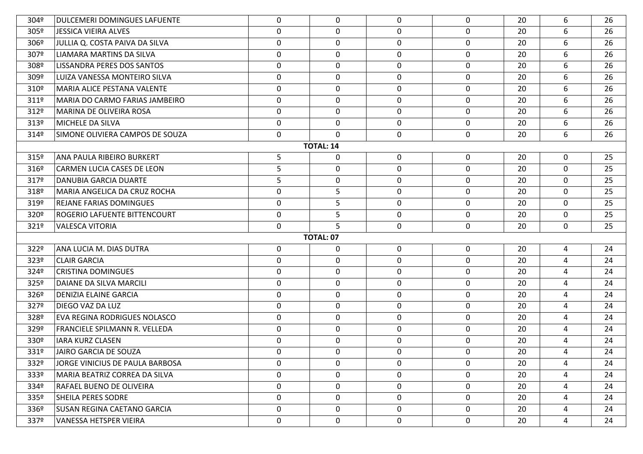| 304º             | DULCEMERI DOMINGUES LAFUENTE       | 0           | $\mathbf 0$      | 0            | $\mathbf{0}$ | 20 | 6              | 26 |
|------------------|------------------------------------|-------------|------------------|--------------|--------------|----|----------------|----|
| 305º             | JESSICA VIEIRA ALVES               | $\mathbf 0$ | 0                | 0            | $\mathbf 0$  | 20 | 6              | 26 |
| 306 <sup>9</sup> | JULLIA Q. COSTA PAIVA DA SILVA     | $\mathbf 0$ | 0                | 0            | $\mathbf 0$  | 20 | 6              | 26 |
| 307º             | LIAMARA MARTINS DA SILVA           | $\mathbf 0$ | 0                | 0            | $\mathbf 0$  | 20 | 6              | 26 |
| 308º             | LISSANDRA PERES DOS SANTOS         | $\mathbf 0$ | 0                | $\mathbf 0$  | $\mathbf 0$  | 20 | 6              | 26 |
| 309º             | LUIZA VANESSA MONTEIRO SILVA       | $\mathbf 0$ | $\mathbf 0$      | $\mathbf 0$  | $\mathbf 0$  | 20 | 6              | 26 |
| 310º             | MARIA ALICE PESTANA VALENTE        | $\mathbf 0$ | 0                | $\mathbf 0$  | 0            | 20 | 6              | 26 |
| 311º             | MARIA DO CARMO FARIAS JAMBEIRO     | $\mathbf 0$ | 0                | 0            | $\mathbf 0$  | 20 | 6              | 26 |
| 312º             | MARINA DE OLIVEIRA ROSA            | $\mathbf 0$ | 0                | 0            | $\mathbf 0$  | 20 | 6              | 26 |
| 313º             | MICHELE DA SILVA                   | 0           | 0                | 0            | $\mathbf 0$  | 20 | 6              | 26 |
| 314º             | SIMONE OLIVIERA CAMPOS DE SOUZA    | $\mathbf 0$ | $\Omega$         | 0            | $\mathbf 0$  | 20 | 6              | 26 |
|                  |                                    |             | <b>TOTAL: 14</b> |              |              |    |                |    |
| 315º             | ANA PAULA RIBEIRO BURKERT          | 5           | $\mathbf 0$      | 0            | $\mathbf 0$  | 20 | 0              | 25 |
| 316º             | CARMEN LUCIA CASES DE LEON         | 5           | 0                | 0            | 0            | 20 | $\mathbf 0$    | 25 |
| 317º             | <b>DANUBIA GARCIA DUARTE</b>       | 5           | 0                | 0            | 0            | 20 | 0              | 25 |
| 318º             | MARIA ANGELICA DA CRUZ ROCHA       | $\mathbf 0$ | 5                | 0            | $\mathbf 0$  | 20 | 0              | 25 |
| 319º             | <b>REJANE FARIAS DOMINGUES</b>     | $\mathbf 0$ | 5                | 0            | $\mathbf 0$  | 20 | $\mathbf 0$    | 25 |
| 320 <sup>o</sup> | ROGERIO LAFUENTE BITTENCOURT       | $\pmb{0}$   | 5                | $\mathbf 0$  | $\mathbf 0$  | 20 | $\mathbf 0$    | 25 |
| 321º             | <b>VALESCA VITORIA</b>             | 0           | 5                | 0            | $\mathbf{0}$ | 20 | 0              | 25 |
|                  |                                    |             | <b>TOTAL: 07</b> |              |              |    |                |    |
| 322º             | ANA LUCIA M. DIAS DUTRA            | 0           | 0                | 0            | $\mathbf 0$  | 20 | 4              | 24 |
| 323º             | <b>CLAIR GARCIA</b>                | $\mathbf 0$ | $\pmb{0}$        | $\mathbf 0$  | $\mathbf 0$  | 20 | $\overline{4}$ | 24 |
| 324º             | <b>CRISTINA DOMINGUES</b>          | $\mathbf 0$ | 0                | 0            | $\mathbf 0$  | 20 | 4              | 24 |
| 325º             | DAIANE DA SILVA MARCILI            | $\mathbf 0$ | 0                | $\mathbf 0$  | $\mathbf 0$  | 20 | 4              | 24 |
| 326º             | DENIZIA ELAINE GARCIA              | $\mathbf 0$ | 0                | 0            | $\mathbf 0$  | 20 | 4              | 24 |
| 327º             | <b>DIEGO VAZ DA LUZ</b>            | $\mathbf 0$ | 0                | 0            | $\mathbf 0$  | 20 | $\overline{4}$ | 24 |
| 328º             | EVA REGINA RODRIGUES NOLASCO       | $\mathbf 0$ | 0                | $\mathbf 0$  | $\mathbf 0$  | 20 | 4              | 24 |
| 329º             | FRANCIELE SPILMANN R. VELLEDA      | $\mathbf 0$ | 0                | 0            | $\mathbf 0$  | 20 | $\overline{4}$ | 24 |
| 330 <sup>o</sup> | <b>IARA KURZ CLASEN</b>            | $\mathbf 0$ | 0                | $\mathbf 0$  | $\mathbf 0$  | 20 | 4              | 24 |
| 331º             | JAIRO GARCIA DE SOUZA              | 0           | 0                | 0            | 0            | 20 | 4              | 24 |
| 332º             | JORGE VINICIUS DE PAULA BARBOSA    | $\mathbf 0$ | 0                | 0            | $\mathbf{0}$ | 20 | 4              | 24 |
| 333º             | MARIA BEATRIZ CORREA DA SILVA      | $\mathbf 0$ | 0                | $\mathbf{0}$ | $\mathbf 0$  | 20 | 4              | 24 |
| 334º             | RAFAEL BUENO DE OLIVEIRA           | $\mathbf 0$ | $\mathbf 0$      | 0            | $\mathbf 0$  | 20 | 4              | 24 |
| 335 <sup>o</sup> | <b>SHEILA PERES SODRE</b>          | $\mathbf 0$ | 0                | $\mathbf{0}$ | $\mathbf 0$  | 20 | 4              | 24 |
| 336º             | <b>SUSAN REGINA CAETANO GARCIA</b> | $\mathbf 0$ | 0                | $\mathbf 0$  | $\mathbf 0$  | 20 | 4              | 24 |
| 337º             | VANESSA HETSPER VIEIRA             | $\mathbf 0$ | $\mathbf 0$      | $\mathbf 0$  | $\mathbf 0$  | 20 | $\overline{a}$ | 24 |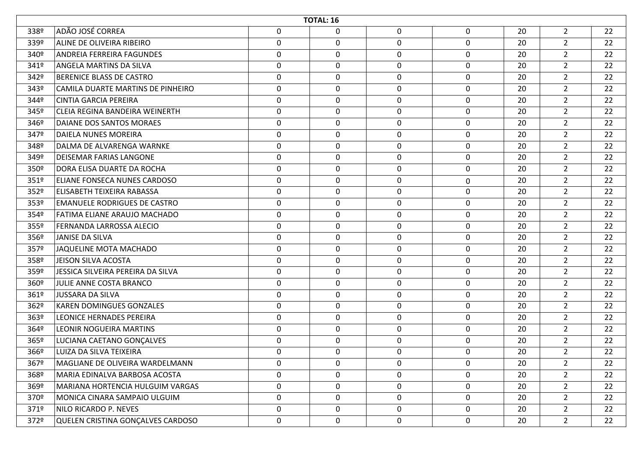|                  | <b>TOTAL: 16</b>                    |                  |             |             |             |    |                |    |  |  |
|------------------|-------------------------------------|------------------|-------------|-------------|-------------|----|----------------|----|--|--|
| 338º             | ADÃO JOSÉ CORREA                    | $\mathbf 0$      | 0           | 0           | 0           | 20 | $\overline{2}$ | 22 |  |  |
| 339º             | ALINE DE OLIVEIRA RIBEIRO           | $\mathbf 0$      | 0           | $\mathbf 0$ | 0           | 20 | $\overline{2}$ | 22 |  |  |
| 340 <sup>o</sup> | ANDREIA FERREIRA FAGUNDES           | $\mathbf 0$      | 0           | 0           | 0           | 20 | $\overline{2}$ | 22 |  |  |
| 341º             | <b>ANGELA MARTINS DA SILVA</b>      | $\boldsymbol{0}$ | 0           | 0           | 0           | 20 | $\overline{2}$ | 22 |  |  |
| 342º             | BERENICE BLASS DE CASTRO            | $\mathbf 0$      | $\mathbf 0$ | 0           | $\mathbf 0$ | 20 | $\overline{2}$ | 22 |  |  |
| 343º             | CAMILA DUARTE MARTINS DE PINHEIRO   | $\boldsymbol{0}$ | 0           | 0           | $\mathbf 0$ | 20 | $\overline{2}$ | 22 |  |  |
| 344º             | <b>CINTIA GARCIA PEREIRA</b>        | $\mathbf 0$      | $\mathbf 0$ | $\mathbf 0$ | $\mathbf 0$ | 20 | $\overline{2}$ | 22 |  |  |
| 345°             | CLEIA REGINA BANDEIRA WEINERTH      | 0                | 0           | 0           | 0           | 20 | $\overline{2}$ | 22 |  |  |
| 346º             | DAIANE DOS SANTOS MORAES            | $\mathbf 0$      | $\pmb{0}$   | 0           | $\mathbf 0$ | 20 | $\overline{2}$ | 22 |  |  |
| 347º             | DAIELA NUNES MOREIRA                | $\boldsymbol{0}$ | 0           | 0           | $\mathbf 0$ | 20 | $\overline{2}$ | 22 |  |  |
| 348º             | DALMA DE ALVARENGA WARNKE           | $\mathbf 0$      | 0           | 0           | 0           | 20 | $\overline{2}$ | 22 |  |  |
| 349º             | DEISEMAR FARIAS LANGONE             | $\boldsymbol{0}$ | 0           | 0           | $\mathbf 0$ | 20 | $\overline{2}$ | 22 |  |  |
| 350 <sup>o</sup> | DORA ELISA DUARTE DA ROCHA          | $\mathbf 0$      | $\mathbf 0$ | 0           | $\mathbf 0$ | 20 | $\overline{2}$ | 22 |  |  |
| 351º             | ELIANE FONSECA NUNES CARDOSO        | 0                | 0           | 0           | 0           | 20 | $\overline{2}$ | 22 |  |  |
| 352º             | ELISABETH TEIXEIRA RABASSA          | $\mathbf 0$      | $\mathbf 0$ | $\mathbf 0$ | $\mathbf 0$ | 20 | $\overline{2}$ | 22 |  |  |
| 353º             | <b>EMANUELE RODRIGUES DE CASTRO</b> | $\boldsymbol{0}$ | 0           | 0           | 0           | 20 | $\overline{2}$ | 22 |  |  |
| 354º             | FATIMA ELIANE ARAUJO MACHADO        | $\mathbf 0$      | 0           | 0           | $\mathbf 0$ | 20 | $\overline{2}$ | 22 |  |  |
| 355º             | FERNANDA LARROSSA ALECIO            | $\boldsymbol{0}$ | 0           | $\mathbf 0$ | $\mathbf 0$ | 20 | $\overline{2}$ | 22 |  |  |
| 356º             | JANISE DA SILVA                     | $\mathbf 0$      | 0           | 0           | 0           | 20 | $\overline{2}$ | 22 |  |  |
| 357º             | JAQUELINE MOTA MACHADO              | $\boldsymbol{0}$ | 0           | 0           | 0           | 20 | $\overline{2}$ | 22 |  |  |
| 358º             | JEISON SILVA ACOSTA                 | $\mathbf 0$      | $\mathbf 0$ | 0           | $\mathbf 0$ | 20 | $\overline{2}$ | 22 |  |  |
| 359º             | JESSICA SILVEIRA PEREIRA DA SILVA   | $\mathbf 0$      | 0           | 0           | 0           | 20 | $\overline{2}$ | 22 |  |  |
| 360º             | JULIE ANNE COSTA BRANCO             | $\mathbf 0$      | $\mathbf 0$ | 0           | $\mathbf 0$ | 20 | $\overline{2}$ | 22 |  |  |
| 361º             | <b>JUSSARA DA SILVA</b>             | $\mathbf 0$      | 0           | 0           | 0           | 20 | $\overline{2}$ | 22 |  |  |
| 362º             | <b>KAREN DOMINGUES GONZALES</b>     | $\mathbf 0$      | 0           | 0           | $\mathbf 0$ | 20 | $\overline{2}$ | 22 |  |  |
| 363º             | <b>LEONICE HERNADES PEREIRA</b>     | $\boldsymbol{0}$ | 0           | 0           | 0           | 20 | $\overline{2}$ | 22 |  |  |
| 364º             | LEONIR NOGUEIRA MARTINS             | $\mathbf 0$      | 0           | 0           | 0           | 20 | $\overline{2}$ | 22 |  |  |
| 365º             | LUCIANA CAETANO GONÇALVES           | 0                | 0           | 0           | 0           | 20 | $\overline{2}$ | 22 |  |  |
| 366º             | LUIZA DA SILVA TEIXEIRA             | $\mathbf 0$      | 0           | $\Omega$    | 0           | 20 | $\overline{2}$ | 22 |  |  |
| 367º             | MAGLIANE DE OLIVEIRA WARDELMANN     | 0                | 0           | 0           | $\mathbf 0$ | 20 | $\overline{2}$ | 22 |  |  |
| 368º             | MARIA EDINALVA BARBOSA ACOSTA       | $\mathbf 0$      | $\mathbf 0$ | 0           | $\mathbf 0$ | 20 | $2^{\circ}$    | 22 |  |  |
| 369º             | MARIANA HORTENCIA HULGUIM VARGAS    | $\mathbf 0$      | 0           | 0           | $\mathbf 0$ | 20 | $2^{\circ}$    | 22 |  |  |
| 370º             | MONICA CINARA SAMPAIO ULGUIM        | $\mathbf 0$      | 0           | 0           | $\mathbf 0$ | 20 | $2^{\circ}$    | 22 |  |  |
| 371º             | NILO RICARDO P. NEVES               | $\mathbf 0$      | 0           | 0           | $\mathbf 0$ | 20 | $\overline{2}$ | 22 |  |  |
| 372º             | QUELEN CRISTINA GONÇALVES CARDOSO   | $\mathbf 0$      | $\mathbf 0$ | 0           | $\mathbf 0$ | 20 | $\overline{2}$ | 22 |  |  |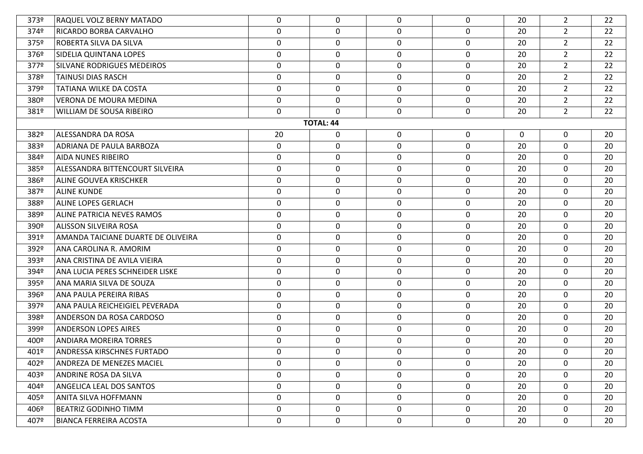| 373º                                                                                | <b>RAQUEL VOLZ BERNY MATADO</b>    | 0           | $\mathbf{0}$     | 0           | $\mathbf{0}$ | 20 | $\mathbf{2}$   | 22 |  |  |  |
|-------------------------------------------------------------------------------------|------------------------------------|-------------|------------------|-------------|--------------|----|----------------|----|--|--|--|
| 374º                                                                                | RICARDO BORBA CARVALHO             | 0           | $\mathbf 0$      | $\mathbf 0$ | $\mathbf 0$  | 20 | $2^{\circ}$    | 22 |  |  |  |
| 375º                                                                                | ROBERTA SILVA DA SILVA             | $\mathbf 0$ | 0                | $\mathbf 0$ | $\mathbf 0$  | 20 | $2^{\circ}$    | 22 |  |  |  |
| 376º                                                                                | SIDELIA QUINTANA LOPES             | 0           | 0                | 0           | $\mathbf 0$  | 20 | $\overline{2}$ | 22 |  |  |  |
| 377º                                                                                | <b>SILVANE RODRIGUES MEDEIROS</b>  | $\mathbf 0$ | 0                | 0           | $\mathbf 0$  | 20 | $2^{\circ}$    | 22 |  |  |  |
| 378º                                                                                | <b>TAINUSI DIAS RASCH</b>          | 0           | $\mathbf 0$      | 0           | $\mathbf 0$  | 20 | $2^{\circ}$    | 22 |  |  |  |
| 379º                                                                                | TATIANA WILKE DA COSTA             | $\mathbf 0$ | 0                | $\mathbf 0$ | $\mathbf 0$  | 20 | $2^{\circ}$    | 22 |  |  |  |
| 380 <sup>o</sup>                                                                    | <b>VERONA DE MOURA MEDINA</b>      | 0           | $\mathbf 0$      | $\mathbf 0$ | $\mathbf 0$  | 20 | $\overline{2}$ | 22 |  |  |  |
| 381º                                                                                | WILLIAM DE SOUSA RIBEIRO           | 0           | 0                | 0           | $\mathbf 0$  | 20 | $2^{\circ}$    | 22 |  |  |  |
|                                                                                     |                                    |             | <b>TOTAL: 44</b> |             |              |    |                |    |  |  |  |
| 382º<br>ALESSANDRA DA ROSA<br>0<br>$\mathbf 0$<br>0<br>$\mathbf 0$<br>20<br>20<br>0 |                                    |             |                  |             |              |    |                |    |  |  |  |
| 383º                                                                                | ADRIANA DE PAULA BARBOZA           | $\mathbf 0$ | $\mathbf 0$      | $\mathbf 0$ | $\mathbf 0$  | 20 | $\overline{0}$ | 20 |  |  |  |
| 384º                                                                                | <b>AIDA NUNES RIBEIRO</b>          | 0           | 0                | 0           | 0            | 20 | $\mathbf 0$    | 20 |  |  |  |
| 385º                                                                                | ALESSANDRA BITTENCOURT SILVEIRA    | $\pmb{0}$   | $\mathbf 0$      | $\mathbf 0$ | $\mathbf 0$  | 20 | $\mathbf 0$    | 20 |  |  |  |
| 386 <sup>o</sup>                                                                    | <b>ALINE GOUVEA KRISCHKER</b>      | 0           | 0                | 0           | $\mathbf 0$  | 20 | $\mathbf 0$    | 20 |  |  |  |
| 387º                                                                                | <b>ALINE KUNDE</b>                 | $\mathbf 0$ | $\mathbf 0$      | $\mathbf 0$ | $\mathbf 0$  | 20 | $\mathbf 0$    | 20 |  |  |  |
| 388º                                                                                | <b>ALINE LOPES GERLACH</b>         | $\mathbf 0$ | 0                | 0           | $\mathbf 0$  | 20 | $\mathbf 0$    | 20 |  |  |  |
| 389º                                                                                | <b>ALINE PATRICIA NEVES RAMOS</b>  | 0           | $\mathbf 0$      | 0           | $\mathbf 0$  | 20 | $\mathbf 0$    | 20 |  |  |  |
| 390 <sup>o</sup>                                                                    | <b>ALISSON SILVEIRA ROSA</b>       | $\mathbf 0$ | 0                | $\mathbf 0$ | $\mathbf 0$  | 20 | $\mathbf 0$    | 20 |  |  |  |
| 391º                                                                                | AMANDA TAICIANE DUARTE DE OLIVEIRA | 0           | 0                | 0           | $\mathbf 0$  | 20 | $\mathbf 0$    | 20 |  |  |  |
| 392º                                                                                | ANA CAROLINA R. AMORIM             | $\mathbf 0$ | 0                | 0           | $\mathbf 0$  | 20 | $\mathbf 0$    | 20 |  |  |  |
| 393º                                                                                | ANA CRISTINA DE AVILA VIEIRA       | 0           | $\mathbf 0$      | 0           | $\mathbf 0$  | 20 | $\mathbf 0$    | 20 |  |  |  |
| 394º                                                                                | ANA LUCIA PERES SCHNEIDER LISKE    | 0           | $\mathbf 0$      | $\mathbf 0$ | $\mathbf 0$  | 20 | $\mathbf 0$    | 20 |  |  |  |
| 395º                                                                                | ANA MARIA SILVA DE SOUZA           | 0           | 0                | $\mathbf 0$ | $\mathbf 0$  | 20 | $\mathbf 0$    | 20 |  |  |  |
| 396º                                                                                | ANA PAULA PEREIRA RIBAS            | 0           | 0                | 0           | $\mathbf 0$  | 20 | $\mathbf 0$    | 20 |  |  |  |
| 397º                                                                                | ANA PAULA REICHEIGIEL PEVERADA     | 0           | $\mathbf 0$      | $\mathbf 0$ | $\mathbf 0$  | 20 | $\mathbf 0$    | 20 |  |  |  |
| 398º                                                                                | ANDERSON DA ROSA CARDOSO           | 0           | 0                | 0           | $\mathbf 0$  | 20 | $\mathbf 0$    | 20 |  |  |  |
| 399º                                                                                | <b>ANDERSON LOPES AIRES</b>        | 0           | $\mathbf 0$      | $\mathbf 0$ | $\mathbf 0$  | 20 | $\mathbf 0$    | 20 |  |  |  |
| 400º                                                                                | <b>ANDIARA MOREIRA TORRES</b>      | 0           | $\mathbf 0$      | 0           | $\mathbf 0$  | 20 | $\mathbf 0$    | 20 |  |  |  |
| 401º                                                                                | <b>ANDRESSA KIRSCHNES FURTADO</b>  | $\mathbf 0$ | $\mathbf 0$      | $\mathbf 0$ | 0            | 20 | $\mathbf 0$    | 20 |  |  |  |
| 402º                                                                                | ANDREZA DE MENEZES MACIEL          | 0           | $\mathbf 0$      | $\mathbf 0$ | $\mathbf 0$  | 20 | $\mathbf 0$    | 20 |  |  |  |
| 403º                                                                                | ANDRINE ROSA DA SILVA              | 0           | $\mathbf 0$      | $\mathbf 0$ | $\mathbf 0$  | 20 | $\mathbf 0$    | 20 |  |  |  |
| 404º                                                                                | <b>ANGELICA LEAL DOS SANTOS</b>    | 0           | $\mathbf 0$      | 0           | $\mathbf 0$  | 20 | $\mathbf 0$    | 20 |  |  |  |
| 405º                                                                                | <b>ANITA SILVA HOFFMANN</b>        | 0           | $\mathbf 0$      | $\mathbf 0$ | $\mathbf 0$  | 20 | $\mathbf 0$    | 20 |  |  |  |
| 406º                                                                                | <b>BEATRIZ GODINHO TIMM</b>        | $\mathbf 0$ | $\mathbf 0$      | $\mathbf 0$ | $\mathbf 0$  | 20 | $\mathbf 0$    | 20 |  |  |  |
| 407º                                                                                | <b>BIANCA FERREIRA ACOSTA</b>      | 0           | $\mathbf 0$      | $\mathbf 0$ | $\mathbf 0$  | 20 | $\mathbf 0$    | 20 |  |  |  |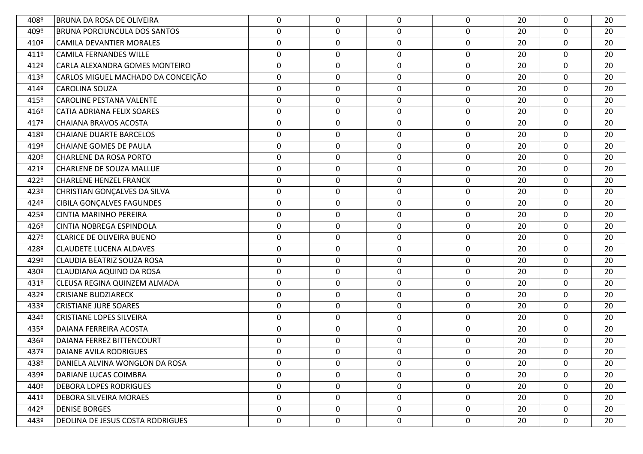| 408º | <b>BRUNA DA ROSA DE OLIVEIRA</b>        | 0                | 0           | 0           | $\mathbf 0$  | 20 | 0           | 20 |
|------|-----------------------------------------|------------------|-------------|-------------|--------------|----|-------------|----|
| 409º | <b>BRUNA PORCIUNCULA DOS SANTOS</b>     | $\mathbf 0$      | $\mathbf 0$ | $\mathbf 0$ | $\mathbf 0$  | 20 | $\mathbf 0$ | 20 |
| 410º | <b>CAMILA DEVANTIER MORALES</b>         | $\mathbf 0$      | 0           | $\mathbf 0$ | $\mathbf 0$  | 20 | 0           | 20 |
| 411º | <b>CAMILA FERNANDES WILLE</b>           | $\mathbf 0$      | 0           | $\mathbf 0$ | $\mathbf 0$  | 20 | $\mathbf 0$ | 20 |
| 412º | CARLA ALEXANDRA GOMES MONTEIRO          | $\mathbf 0$      | 0           | $\mathbf 0$ | $\mathbf 0$  | 20 | 0           | 20 |
| 413º | CARLOS MIGUEL MACHADO DA CONCEIÇÃO      | $\pmb{0}$        | $\mathbf 0$ | $\mathbf 0$ | $\mathbf 0$  | 20 | $\mathbf 0$ | 20 |
| 414º | <b>CAROLINA SOUZA</b>                   | 0                | 0           | $\mathbf 0$ | $\mathbf 0$  | 20 | 0           | 20 |
| 415° | <b>CAROLINE PESTANA VALENTE</b>         | $\mathbf 0$      | 0           | $\mathbf 0$ | $\mathbf 0$  | 20 | $\mathbf 0$ | 20 |
| 416º | CATIA ADRIANA FELIX SOARES              | $\mathbf 0$      | 0           | $\mathbf 0$ | $\mathbf 0$  | 20 | 0           | 20 |
| 417º | <b>CHAIANA BRAVOS ACOSTA</b>            | $\mathbf 0$      | $\mathbf 0$ | 0           | $\mathbf 0$  | 20 | $\mathbf 0$ | 20 |
| 418º | <b>CHAIANE DUARTE BARCELOS</b>          | $\boldsymbol{0}$ | 0           | $\mathbf 0$ | 0            | 20 | 0           | 20 |
| 419º | CHAIANE GOMES DE PAULA                  | 0                | 0           | 0           | $\mathbf 0$  | 20 | 0           | 20 |
| 420º | <b>CHARLENE DA ROSA PORTO</b>           | $\mathbf 0$      | 0           | 0           | 0            | 20 | 0           | 20 |
| 421º | <b>CHARLENE DE SOUZA MALLUE</b>         | 0                | 0           | 0           | 0            | 20 | 0           | 20 |
| 422º | <b>CHARLENE HENZEL FRANCK</b>           | $\boldsymbol{0}$ | 0           | $\mathbf 0$ | $\mathbf 0$  | 20 | 0           | 20 |
| 423º | CHRISTIAN GONÇALVES DA SILVA            | $\mathbf 0$      | $\mathbf 0$ | $\mathbf 0$ | $\mathbf 0$  | 20 | $\mathbf 0$ | 20 |
| 4249 | <b>CIBILA GONÇALVES FAGUNDES</b>        | $\mathbf 0$      | 0           | 0           | $\mathbf 0$  | 20 | 0           | 20 |
| 425° | <b>CINTIA MARINHO PEREIRA</b>           | $\pmb{0}$        | $\pmb{0}$   | $\mathbf 0$ | $\mathbf 0$  | 20 | $\mathbf 0$ | 20 |
| 426º | <b>CINTIA NOBREGA ESPINDOLA</b>         | 0                | 0           | 0           | $\mathbf 0$  | 20 | 0           | 20 |
| 427º | CLARICE DE OLIVEIRA BUENO               | $\pmb{0}$        | 0           | $\mathbf 0$ | $\mathbf 0$  | 20 | $\mathbf 0$ | 20 |
| 428º | <b>CLAUDETE LUCENA ALDAVES</b>          | 0                | 0           | 0           | $\mathbf 0$  | 20 | 0           | 20 |
| 429º | CLAUDIA BEATRIZ SOUZA ROSA              | $\pmb{0}$        | $\pmb{0}$   | $\mathbf 0$ | $\mathbf 0$  | 20 | $\mathbf 0$ | 20 |
| 430º | CLAUDIANA AQUINO DA ROSA                | 0                | 0           | 0           | $\mathbf 0$  | 20 | 0           | 20 |
| 431º | CLEUSA REGINA QUINZEM ALMADA            | $\mathbf 0$      | 0           | $\mathbf 0$ | $\mathbf 0$  | 20 | $\mathbf 0$ | 20 |
| 432º | <b>CRISIANE BUDZIARECK</b>              | $\mathbf 0$      | 0           | $\mathbf 0$ | $\mathbf 0$  | 20 | 0           | 20 |
| 433º | <b>CRISTIANE JURE SOARES</b>            | $\mathbf 0$      | $\mathbf 0$ | $\mathbf 0$ | $\mathbf 0$  | 20 | $\mathbf 0$ | 20 |
| 434º | <b>CRISTIANE LOPES SILVEIRA</b>         | $\boldsymbol{0}$ | 0           | $\mathbf 0$ | $\mathbf 0$  | 20 | $\mathbf 0$ | 20 |
| 435º | DAIANA FERREIRA ACOSTA                  | $\boldsymbol{0}$ | 0           | 0           | $\mathbf 0$  | 20 | $\mathbf 0$ | 20 |
| 436º | DAIANA FERREZ BITTENCOURT               | $\mathbf 0$      | 0           | $\mathbf 0$ | $\mathbf 0$  | 20 | $\mathbf 0$ | 20 |
| 437º | <b>DAIANE AVILA RODRIGUES</b>           | 0                | 0           | 0           | 0            | 20 | 0           | 20 |
| 438º | DANIELA ALVINA WONGLON DA ROSA          | $\mathbf 0$      | 0           | 0           | $\mathbf{0}$ | 20 | 0           | 20 |
| 439º | DARIANE LUCAS COIMBRA                   | $\mathbf 0$      | 0           | $\mathbf 0$ | $\mathbf 0$  | 20 | 0           | 20 |
| 440º | <b>DEBORA LOPES RODRIGUES</b>           | $\mathbf 0$      | 0           | 0           | $\mathbf 0$  | 20 | 0           | 20 |
| 441º | <b>DEBORA SILVEIRA MORAES</b>           | $\mathbf 0$      | 0           | $\mathbf 0$ | $\mathbf 0$  | 20 | 0           | 20 |
| 442º | <b>DENISE BORGES</b>                    | 0                | 0           | 0           | 0            | 20 | 0           | 20 |
| 443º | <b>DEOLINA DE JESUS COSTA RODRIGUES</b> | $\mathbf 0$      | 0           | $\mathbf 0$ | $\mathbf 0$  | 20 | $\mathbf 0$ | 20 |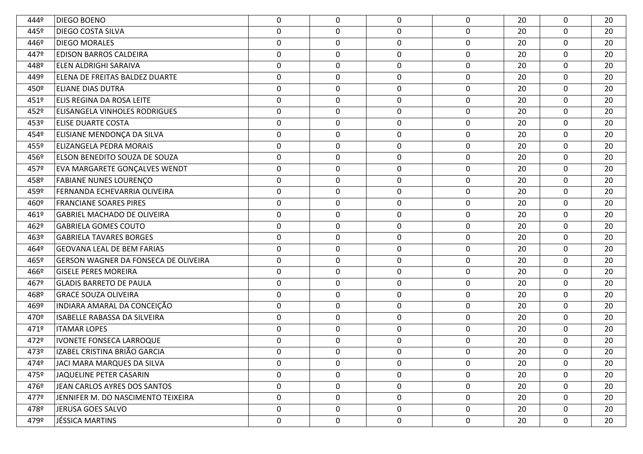| 4449 | <b>DIEGO BOENO</b>                          | 0           | 0           | 0           | 0           | 20 | 0           | 20 |
|------|---------------------------------------------|-------------|-------------|-------------|-------------|----|-------------|----|
| 445º | <b>DIEGO COSTA SILVA</b>                    | $\pmb{0}$   | 0           | 0           | $\mathbf 0$ | 20 | $\mathbf 0$ | 20 |
| 446º | <b>DIEGO MORALES</b>                        | $\mathbf 0$ | 0           | $\mathbf 0$ | 0           | 20 | 0           | 20 |
| 447º | <b>EDISON BARROS CALDEIRA</b>               | 0           | 0           | $\mathbf 0$ | 0           | 20 | $\mathbf 0$ | 20 |
| 448º | <b>ELEN ALDRIGHI SARAIVA</b>                | 0           | 0           | 0           | 0           | 20 | 0           | 20 |
| 449º | ELENA DE FREITAS BALDEZ DUARTE              | $\pmb{0}$   | 0           | $\mathbf 0$ | 0           | 20 | $\mathbf 0$ | 20 |
| 450º | <b>ELIANE DIAS DUTRA</b>                    | 0           | 0           | 0           | 0           | 20 | 0           | 20 |
| 451º | ELIS REGINA DA ROSA LEITE                   | 0           | 0           | $\mathbf 0$ | 0           | 20 | $\mathbf 0$ | 20 |
| 452º | ELISANGELA VINHOLES RODRIGUES               | $\mathbf 0$ | 0           | $\mathbf 0$ | 0           | 20 | 0           | 20 |
| 453º | <b>ELISE DUARTE COSTA</b>                   | $\pmb{0}$   | 0           | 0           | $\mathbf 0$ | 20 | $\mathbf 0$ | 20 |
| 454º | ELISIANE MENDONÇA DA SILVA                  | $\pmb{0}$   | 0           | $\mathbf 0$ | 0           | 20 | $\mathbf 0$ | 20 |
| 455º | <b>ELIZANGELA PEDRA MORAIS</b>              | 0           | 0           | $\mathbf 0$ | 0           | 20 | 0           | 20 |
| 456º | ELSON BENEDITO SOUZA DE SOUZA               | $\mathbf 0$ | 0           | $\mathbf 0$ | 0           | 20 | 0           | 20 |
| 457º | EVA MARGARETE GONÇALVES WENDT               | 0           | 0           | $\mathbf 0$ | 0           | 20 | $\mathbf 0$ | 20 |
| 458º | <b>FABIANE NUNES LOURENÇO</b>               | 0           | 0           | 0           | 0           | 20 | 0           | 20 |
| 459º | FERNANDA ECHEVARRIA OLIVEIRA                | $\pmb{0}$   | 0           | $\mathbf 0$ | 0           | 20 | $\mathbf 0$ | 20 |
| 460º | <b>FRANCIANE SOARES PIRES</b>               | $\mathbf 0$ | 0           | $\mathbf 0$ | 0           | 20 | 0           | 20 |
| 461º | <b>GABRIEL MACHADO DE OLIVEIRA</b>          | $\pmb{0}$   | 0           | $\mathbf 0$ | 0           | 20 | $\mathbf 0$ | 20 |
| 462º | <b>GABRIELA GOMES COUTO</b>                 | $\pmb{0}$   | 0           | $\mathbf 0$ | 0           | 20 | $\mathbf 0$ | 20 |
| 463º | <b>GABRIELA TAVARES BORGES</b>              | 0           | 0           | $\mathbf 0$ | 0           | 20 | 0           | 20 |
| 464º | <b>GEOVANA LEAL DE BEM FARIAS</b>           | $\mathbf 0$ | 0           | $\mathbf 0$ | 0           | 20 | $\mathbf 0$ | 20 |
| 465º | <b>GERSON WAGNER DA FONSECA DE OLIVEIRA</b> | $\pmb{0}$   | $\mathbf 0$ | 0           | $\mathbf 0$ | 20 | $\mathbf 0$ | 20 |
| 466º | <b>GISELE PERES MOREIRA</b>                 | 0           | 0           | $\mathbf 0$ | $\mathbf 0$ | 20 | $\mathbf 0$ | 20 |
| 467º | <b>GLADIS BARRETO DE PAULA</b>              | 0           | 0           | 0           | $\mathbf 0$ | 20 | $\mathbf 0$ | 20 |
| 468º | <b>GRACE SOUZA OLIVEIRA</b>                 | 0           | $\mathbf 0$ | 0           | $\mathbf 0$ | 20 | 0           | 20 |
| 469º | INDIARA AMARAL DA CONCEIÇÃO                 | $\pmb{0}$   | $\mathbf 0$ | $\mathbf 0$ | $\mathbf 0$ | 20 | $\mathbf 0$ | 20 |
| 470º | <b>ISABELLE RABASSA DA SILVEIRA</b>         | 0           | $\mathbf 0$ | 0           | 0           | 20 | 0           | 20 |
| 471º | <b>ITAMAR LOPES</b>                         | 0           | 0           | $\mathbf 0$ | $\mathbf 0$ | 20 | $\mathbf 0$ | 20 |
| 472º | <b>IVONETE FONSECA LARROQUE</b>             | 0           | 0           | 0           | 0           | 20 | 0           | 20 |
| 473º | IZABEL CRISTINA BRIÃO GARCIA                | 0           | $\mathbf 0$ | $\Omega$    | 0           | 20 | 0           | 20 |
| 4749 | JACI MARA MARQUES DA SILVA                  | 0           | 0           | 0           | 0           | 20 | $\mathbf 0$ | 20 |
| 475º | JAQUELINE PETER CASARIN                     | 0           | $\mathbf 0$ | 0           | $\mathbf 0$ | 20 | $\mathbf 0$ | 20 |
| 476º | JEAN CARLOS AYRES DOS SANTOS                | $\mathbf 0$ | 0           | 0           | $\mathbf 0$ | 20 | $\mathbf 0$ | 20 |
| 477º | JENNIFER M. DO NASCIMENTO TEIXEIRA          | 0           | $\mathbf 0$ | 0           | $\mathbf 0$ | 20 | $\mathbf 0$ | 20 |
| 478º | JERUSA GOES SALVO                           | 0           | 0           | 0           | $\mathbf 0$ | 20 | $\mathbf 0$ | 20 |
| 479º | JÉSSICA MARTINS                             | $\pmb{0}$   | $\mathbf 0$ | $\mathbf 0$ | $\mathbf 0$ | 20 | $\mathbf 0$ | 20 |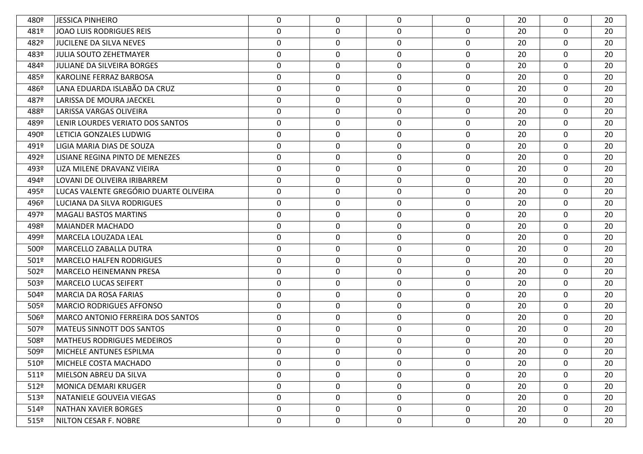| 480º             | <b>JESSICA PINHEIRO</b>                  | 0           | 0           | $\mathbf 0$ | 0              | 20 | $\mathbf{0}$     | 20 |
|------------------|------------------------------------------|-------------|-------------|-------------|----------------|----|------------------|----|
| 481º             | JOAO LUIS RODRIGUES REIS                 | 0           | $\mathbf 0$ | 0           | $\mathbf 0$    | 20 | $\mathbf 0$      | 20 |
| 482º             | <b>JUCILENE DA SILVA NEVES</b>           | $\mathbf 0$ | 0           | 0           | 0              | 20 | $\mathbf 0$      | 20 |
| 483º             | <b>JULIA SOUTO ZEHETMAYER</b>            | 0           | 0           | 0           | 0              | 20 | $\mathbf 0$      | 20 |
| 484º             | <b>JULIANE DA SILVEIRA BORGES</b>        | $\mathbf 0$ | 0           | 0           | 0              | 20 | $\mathbf 0$      | 20 |
| 485º             | <b>KAROLINE FERRAZ BARBOSA</b>           | 0           | 0           | 0           | $\mathbf 0$    | 20 | $\mathbf 0$      | 20 |
| 486º             | LANA EDUARDA ISLABÃO DA CRUZ             | 0           | 0           | 0           | 0              | 20 | $\mathbf 0$      | 20 |
| 487º             | LARISSA DE MOURA JAECKEL                 | 0           | 0           | 0           | 0              | 20 | $\mathbf 0$      | 20 |
| 488º             | LARISSA VARGAS OLIVEIRA                  | 0           | 0           | 0           | 0              | 20 | $\mathbf 0$      | 20 |
| 489º             | LENIR LOURDES VERIATO DOS SANTOS         | 0           | 0           | 0           | $\mathbf 0$    | 20 | $\mathbf 0$      | 20 |
| 490º             | LETICIA GONZALES LUDWIG                  | $\mathbf 0$ | 0           | 0           | 0              | 20 | $\mathbf 0$      | 20 |
| 491º             | LIGIA MARIA DIAS DE SOUZA                | $\mathbf 0$ | 0           | 0           | 0              | 20 | $\mathbf 0$      | 20 |
| 492º             | LISIANE REGINA PINTO DE MENEZES          | 0           | 0           | 0           | 0              | 20 | $\mathbf 0$      | 20 |
| 493º             | LIZA MILENE DRAVANZ VIEIRA               | $\mathbf 0$ | $\mathbf 0$ | 0           | $\mathbf 0$    | 20 | $\mathbf 0$      | 20 |
| 494º             | LOVANI DE OLIVEIRA IRIBARREM             | $\mathbf 0$ | 0           | 0           | 0              | 20 | $\boldsymbol{0}$ | 20 |
| 495º             | LUCAS VALENTE GREGÓRIO DUARTE OLIVEIRA   | $\mathbf 0$ | 0           | $\mathbf 0$ | $\mathbf 0$    | 20 | $\mathbf 0$      | 20 |
| 496º             | LUCIANA DA SILVA RODRIGUES               | $\mathbf 0$ | 0           | 0           | 0              | 20 | $\mathbf 0$      | 20 |
| 497º             | <b>MAGALI BASTOS MARTINS</b>             | $\mathbf 0$ | $\mathbf 0$ | 0           | $\mathbf 0$    | 20 | $\mathbf 0$      | 20 |
| 498º             | <b>MAIANDER MACHADO</b>                  | $\mathbf 0$ | 0           | 0           | 0              | 20 | $\mathbf 0$      | 20 |
| 499º             | MARCELA LOUZADA LEAL                     | 0           | 0           | 0           | 0              | 20 | $\mathbf 0$      | 20 |
| 500°             | <b>MARCELLO ZABALLA DUTRA</b>            | 0           | 0           | 0           | 0              | 20 | $\mathbf 0$      | 20 |
| 501°             | <b>MARCELO HALFEN RODRIGUES</b>          | 0           | 0           | 0           | 0              | 20 | $\mathbf 0$      | 20 |
| 502º             | <b>MARCELO HEINEMANN PRESA</b>           | 0           | 0           | 0           | 0              | 20 | $\mathbf 0$      | 20 |
| 503º             | <b>MARCELO LUCAS SEIFERT</b>             | 0           | 0           | 0           | 0              | 20 | $\mathbf 0$      | 20 |
| 504º             | <b>MARCIA DA ROSA FARIAS</b>             | 0           | 0           | 0           | 0              | 20 | $\mathbf 0$      | 20 |
| 505°             | <b>MARCIO RODRIGUES AFFONSO</b>          | 0           | 0           | 0           | 0              | 20 | $\mathbf 0$      | 20 |
| 506º             | <b>MARCO ANTONIO FERREIRA DOS SANTOS</b> | 0           | 0           | 0           | 0              | 20 | $\mathbf 0$      | 20 |
| 507º             | <b>MATEUS SINNOTT DOS SANTOS</b>         | 0           | 0           | 0           | 0              | 20 | $\mathbf 0$      | 20 |
| 508º             | <b>MATHEUS RODRIGUES MEDEIROS</b>        | 0           | 0           | 0           | 0              | 20 | $\mathbf{0}$     | 20 |
| 509º             | MICHELE ANTUNES ESPILMA                  | 0           | 0           | 0           | 0              | 20 | $\Omega$         | 20 |
| 510º             | MICHELE COSTA MACHADO                    | 0           | 0           | 0           | $\mathbf 0$    | 20 | 0                | 20 |
| 5119             | MIELSON ABREU DA SILVA                   | 0           | $\mathbf 0$ | 0           | $\overline{0}$ | 20 | $\mathbf 0$      | 20 |
| 512 <sup>°</sup> | <b>MONICA DEMARI KRUGER</b>              | $\mathbf 0$ | 0           | 0           | $\mathbf 0$    | 20 | $\mathbf 0$      | 20 |
| 513°             | NATANIELE GOUVEIA VIEGAS                 | 0           | 0           | 0           | $\mathbf 0$    | 20 | $\mathbf 0$      | 20 |
| 514º             | <b>NATHAN XAVIER BORGES</b>              | $\mathbf 0$ | 0           | 0           | $\mathbf 0$    | 20 | $\mathbf 0$      | 20 |
| 515°             | NILTON CESAR F. NOBRE                    | $\mathbf 0$ | 0           | 0           | 0              | 20 | $\mathbf 0$      | 20 |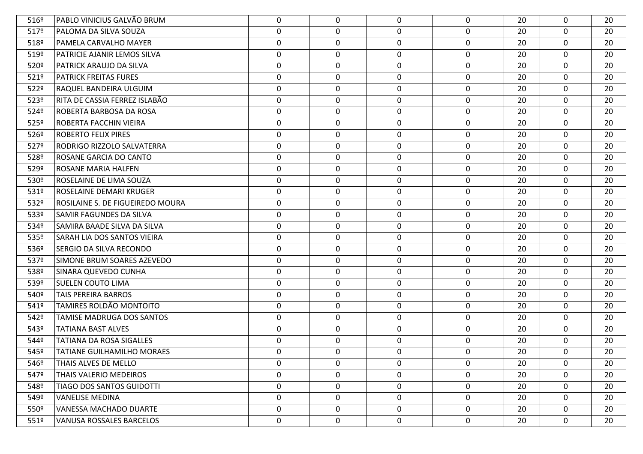| 5169             | PABLO VINICIUS GALVÃO BRUM        | 0                | $\mathbf 0$ | $\mathbf 0$ | $\mathbf 0$  | 20 | 0           | 20 |
|------------------|-----------------------------------|------------------|-------------|-------------|--------------|----|-------------|----|
| 517º             | PALOMA DA SILVA SOUZA             | $\boldsymbol{0}$ | $\mathbf 0$ | $\mathbf 0$ | $\mathbf 0$  | 20 | $\mathbf 0$ | 20 |
| 518º             | PAMELA CARVALHO MAYER             | $\boldsymbol{0}$ | 0           | $\mathbf 0$ | $\mathbf 0$  | 20 | 0           | 20 |
| 519º             | PATRICIE AJANIR LEMOS SILVA       | $\mathbf 0$      | $\mathbf 0$ | $\mathbf 0$ | $\mathbf 0$  | 20 | $\mathbf 0$ | 20 |
| 520º             | <b>PATRICK ARAUJO DA SILVA</b>    | $\boldsymbol{0}$ | 0           | $\mathbf 0$ | 0            | 20 | 0           | 20 |
| 5219             | <b>PATRICK FREITAS FURES</b>      | $\pmb{0}$        | 0           | $\mathbf 0$ | $\mathbf 0$  | 20 | $\mathbf 0$ | 20 |
| 522º             | RAQUEL BANDEIRA ULGUIM            | $\boldsymbol{0}$ | 0           | $\mathbf 0$ | $\mathbf 0$  | 20 | 0           | 20 |
| 523º             | RITA DE CASSIA FERREZ ISLABÃO     | $\pmb{0}$        | $\mathbf 0$ | $\mathbf 0$ | $\mathbf 0$  | 20 | $\mathbf 0$ | 20 |
| 524º             | ROBERTA BARBOSA DA ROSA           | $\boldsymbol{0}$ | 0           | $\mathbf 0$ | 0            | 20 | 0           | 20 |
| 525º             | <b>ROBERTA FACCHIN VIEIRA</b>     | $\pmb{0}$        | $\mathbf 0$ | $\mathbf 0$ | $\mathbf 0$  | 20 | $\mathbf 0$ | 20 |
| 526º             | <b>ROBERTO FELIX PIRES</b>        | $\boldsymbol{0}$ | 0           | $\mathbf 0$ | $\mathbf 0$  | 20 | 0           | 20 |
| 527º             | <b>RODRIGO RIZZOLO SALVATERRA</b> | $\boldsymbol{0}$ | 0           | $\mathbf 0$ | $\mathbf 0$  | 20 | $\mathbf 0$ | 20 |
| 528º             | ROSANE GARCIA DO CANTO            | $\boldsymbol{0}$ | 0           | $\mathbf 0$ | $\mathbf 0$  | 20 | 0           | 20 |
| 529º             | ROSANE MARIA HALFEN               | $\pmb{0}$        | $\pmb{0}$   | $\mathbf 0$ | $\mathbf 0$  | 20 | $\mathbf 0$ | 20 |
| 530 <sup>o</sup> | ROSELAINE DE LIMA SOUZA           | 0                | 0           | $\mathbf 0$ | $\mathbf 0$  | 20 | 0           | 20 |
| 531º             | <b>ROSELAINE DEMARI KRUGER</b>    | $\boldsymbol{0}$ | $\mathbf 0$ | $\mathbf 0$ | $\mathbf 0$  | 20 | $\mathbf 0$ | 20 |
| 532º             | ROSILAINE S. DE FIGUEIREDO MOURA  | $\boldsymbol{0}$ | 0           | $\mathbf 0$ | 0            | 20 | 0           | 20 |
| 533º             | SAMIR FAGUNDES DA SILVA           | $\pmb{0}$        | 0           | $\mathbf 0$ | $\mathbf 0$  | 20 | $\mathbf 0$ | 20 |
| 534º             | SAMIRA BAADE SILVA DA SILVA       | $\boldsymbol{0}$ | 0           | $\mathbf 0$ | 0            | 20 | 0           | 20 |
| 535º             | SARAH LIA DOS SANTOS VIEIRA       | $\pmb{0}$        | 0           | $\mathbf 0$ | $\mathbf 0$  | 20 | $\mathbf 0$ | 20 |
| 536º             | <b>SERGIO DA SILVA RECONDO</b>    | $\boldsymbol{0}$ | 0           | $\mathbf 0$ | 0            | 20 | 0           | 20 |
| 537º             | SIMONE BRUM SOARES AZEVEDO        | $\mathbf 0$      | $\mathbf 0$ | $\mathbf 0$ | $\mathbf 0$  | 20 | $\mathbf 0$ | 20 |
| 538º             | SINARA QUEVEDO CUNHA              | $\pmb{0}$        | 0           | $\mathbf 0$ | $\mathbf 0$  | 20 | $\mathbf 0$ | 20 |
| 539º             | <b>SUELEN COUTO LIMA</b>          | $\boldsymbol{0}$ | $\mathbf 0$ | 0           | $\mathbf 0$  | 20 | $\mathbf 0$ | 20 |
| 540º             | <b>TAIS PEREIRA BARROS</b>        | $\boldsymbol{0}$ | 0           | $\mathbf 0$ | $\mathbf 0$  | 20 | 0           | 20 |
| 541º             | <b>TAMIRES ROLDÃO MONTOITO</b>    | $\pmb{0}$        | $\mathbf 0$ | $\mathbf 0$ | $\mathbf 0$  | 20 | $\mathbf 0$ | 20 |
| 542º             | TAMISE MADRUGA DOS SANTOS         | 0                | $\mathbf 0$ | $\mathbf 0$ | $\mathbf 0$  | 20 | $\mathbf 0$ | 20 |
| 543º             | <b>TATIANA BAST ALVES</b>         | $\pmb{0}$        | $\mathbf 0$ | $\mathbf 0$ | $\mathbf 0$  | 20 | $\mathbf 0$ | 20 |
| 544º             | <b>TATIANA DA ROSA SIGALLES</b>   | 0                | 0           | 0           | $\mathbf 0$  | 20 | $\mathbf 0$ | 20 |
| 545°             | <b>TATIANE GUILHAMILHO MORAES</b> | $\mathbf 0$      | $\mathbf 0$ | 0           | $\mathbf 0$  | 20 | 0           | 20 |
| 546º             | THAIS ALVES DE MELLO              | $\mathbf 0$      | 0           | 0           | $\mathbf{0}$ | 20 | 0           | 20 |
| 547º             | <b>THAIS VALERIO MEDEIROS</b>     | $\mathbf 0$      | $\mathbf 0$ | $\mathbf 0$ | $\mathbf 0$  | 20 | $\mathbf 0$ | 20 |
| 548º             | TIAGO DOS SANTOS GUIDOTTI         | 0                | 0           | 0           | $\mathbf 0$  | 20 | 0           | 20 |
| 549º             | <b>VANELISE MEDINA</b>            | $\mathbf 0$      | $\mathbf 0$ | $\mathbf 0$ | $\mathbf 0$  | 20 | $\mathbf 0$ | 20 |
| 550 <sup>o</sup> | VANESSA MACHADO DUARTE            | $\boldsymbol{0}$ | 0           | $\mathbf 0$ | $\mathbf 0$  | 20 | 0           | 20 |
| $551^{\circ}$    | VANUSA ROSSALES BARCELOS          | $\mathbf 0$      | $\mathbf 0$ | 0           | $\mathbf 0$  | 20 | 0           | 20 |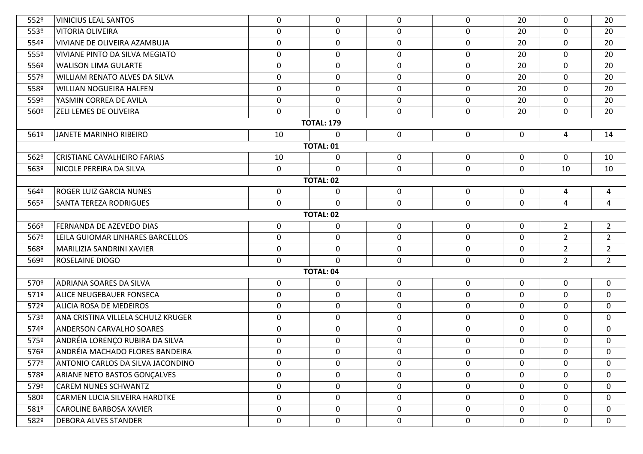| 552º             | <b>VINICIUS LEAL SANTOS</b>         | $\mathbf 0$ | 0                 | 0           | $\mathbf 0$ | 20          | 0              | 20             |  |  |  |
|------------------|-------------------------------------|-------------|-------------------|-------------|-------------|-------------|----------------|----------------|--|--|--|
| 553º             | VITORIA OLIVEIRA                    | $\mathbf 0$ | $\mathbf 0$       | $\mathbf 0$ | $\mathbf 0$ | 20          | $\mathbf 0$    | 20             |  |  |  |
| 554º             | <b>VIVIANE DE OLIVEIRA AZAMBUJA</b> | $\mathbf 0$ | 0                 | $\mathbf 0$ | $\mathbf 0$ | 20          | $\mathbf 0$    | 20             |  |  |  |
| 555º             | VIVIANE PINTO DA SILVA MEGIATO      | $\mathbf 0$ | $\mathbf 0$       | $\mathbf 0$ | $\mathbf 0$ | 20          | $\mathbf 0$    | 20             |  |  |  |
| 556º             | <b>WALISON LIMA GULARTE</b>         | $\mathbf 0$ | 0                 | 0           | $\mathbf 0$ | 20          | $\mathbf 0$    | 20             |  |  |  |
| 557º             | WILLIAM RENATO ALVES DA SILVA       | $\mathbf 0$ | $\mathbf 0$       | $\mathbf 0$ | $\mathbf 0$ | 20          | $\mathbf 0$    | 20             |  |  |  |
| 558º             | <b>WILLIAN NOGUEIRA HALFEN</b>      | $\mathbf 0$ | 0                 | 0           | $\mathbf 0$ | 20          | $\mathbf 0$    | 20             |  |  |  |
| 559º             | YASMIN CORREA DE AVILA              | $\mathbf 0$ | $\mathbf 0$       | $\mathbf 0$ | $\mathbf 0$ | 20          | $\mathbf 0$    | 20             |  |  |  |
| 560º             | ZELI LEMES DE OLIVEIRA              | 0           | $\Omega$          | 0           | $\mathbf 0$ | 20          | $\mathbf 0$    | 20             |  |  |  |
|                  |                                     |             | <b>TOTAL: 179</b> |             |             |             |                |                |  |  |  |
| 561º             | JANETE MARINHO RIBEIRO              | 10          | 0                 | $\mathbf 0$ | $\mathbf 0$ | 0           | 4              | 14             |  |  |  |
|                  |                                     |             | <b>TOTAL: 01</b>  |             |             |             |                |                |  |  |  |
| 562º             | <b>CRISTIANE CAVALHEIRO FARIAS</b>  | 10          | 0                 | 0           | $\mathbf 0$ | 0           | $\mathbf 0$    | 10             |  |  |  |
| 563º             | NICOLE PEREIRA DA SILVA             | $\mathbf 0$ | $\mathbf 0$       | $\mathbf 0$ | $\mathbf 0$ | $\mathbf 0$ | 10             | 10             |  |  |  |
| <b>TOTAL: 02</b> |                                     |             |                   |             |             |             |                |                |  |  |  |
| 564º             | <b>ROGER LUIZ GARCIA NUNES</b>      | $\mathbf 0$ | 0                 | $\mathbf 0$ | $\mathbf 0$ | $\mathbf 0$ | $\overline{a}$ | 4              |  |  |  |
| 565º             | SANTA TEREZA RODRIGUES              | $\mathbf 0$ | $\mathbf 0$       | $\mathbf 0$ | $\mathbf 0$ | $\mathbf 0$ | $\overline{4}$ | 4              |  |  |  |
| <b>TOTAL: 02</b> |                                     |             |                   |             |             |             |                |                |  |  |  |
| 566º             | FERNANDA DE AZEVEDO DIAS            | $\mathbf 0$ | 0                 | $\mathbf 0$ | $\mathbf 0$ | 0           | $2^{\circ}$    | $\overline{2}$ |  |  |  |
| 567º             | LEILA GUIOMAR LINHARES BARCELLOS    | $\mathbf 0$ | 0                 | $\mathbf 0$ | $\mathbf 0$ | 0           | $\overline{2}$ | $\overline{2}$ |  |  |  |
| 568º             | MARILIZIA SANDRINI XAVIER           | $\mathbf 0$ | $\mathbf 0$       | $\mathbf 0$ | $\mathbf 0$ | $\Omega$    | $\overline{2}$ | $2^{\circ}$    |  |  |  |
| 569º             | ROSELAINE DIOGO                     | $\mathbf 0$ | $\mathbf 0$       | $\mathbf 0$ | $\mathbf 0$ | $\mathbf 0$ | $2^{\circ}$    | $2^{\circ}$    |  |  |  |
|                  |                                     |             | <b>TOTAL: 04</b>  |             |             |             |                |                |  |  |  |
| 570º             | <b>ADRIANA SOARES DA SILVA</b>      | $\mathbf 0$ | 0                 | $\mathbf 0$ | $\mathbf 0$ | 0           | $\mathbf 0$    | $\mathbf 0$    |  |  |  |
| 571º             | ALICE NEUGEBAUER FONSECA            | $\mathbf 0$ | $\mathbf 0$       | $\mathbf 0$ | $\mathbf 0$ | $\mathbf 0$ | $\mathbf 0$    | $\mathbf 0$    |  |  |  |
| 572º             | ALICIA ROSA DE MEDEIROS             | $\mathbf 0$ | $\mathbf 0$       | $\mathbf 0$ | $\mathbf 0$ | 0           | $\mathbf 0$    | $\mathbf 0$    |  |  |  |
| 573º             | ANA CRISTINA VILLELA SCHULZ KRUGER  | $\mathbf 0$ | 0                 | $\mathbf 0$ | $\mathbf 0$ | 0           | $\mathbf 0$    | $\mathbf 0$    |  |  |  |
| 574º             | <b>ANDERSON CARVALHO SOARES</b>     | $\mathbf 0$ | 0                 | $\mathbf 0$ | $\mathbf 0$ | 0           | $\mathbf 0$    | $\mathbf 0$    |  |  |  |
| 575º             | ANDRÉIA LORENÇO RUBIRA DA SILVA     | $\mathbf 0$ | $\mathbf 0$       | $\mathbf 0$ | $\mathbf 0$ | $\mathbf 0$ | $\mathbf 0$    | $\mathbf 0$    |  |  |  |
| 576º             | ANDRÉIA MACHADO FLORES BANDEIRA     | 0           | $\mathbf 0$       | 0           | $\mathbf 0$ | 0           | $\mathbf 0$    | 0              |  |  |  |
| 577º             | ANTONIO CARLOS DA SILVA JACONDINO   | 0           | 0                 | $\mathbf 0$ | $\mathbf 0$ | 0           | 0              | $\Omega$       |  |  |  |
| 578º             | ARIANE NETO BASTOS GONÇALVES        | $\mathbf 0$ | $\mathbf 0$       | 0           | $\mathbf 0$ | $\mathbf 0$ | $\mathbf 0$    | $\mathbf{0}$   |  |  |  |
| 579º             | <b>CAREM NUNES SCHWANTZ</b>         | $\mathbf 0$ | 0                 | 0           | $\mathbf 0$ | 0           | $\mathbf 0$    | $\mathbf{0}$   |  |  |  |
| 580 <sup>o</sup> | CARMEN LUCIA SILVEIRA HARDTKE       | $\mathbf 0$ | 0                 | $\mathbf 0$ | 0           | $\mathbf 0$ | 0              | $\mathbf{0}$   |  |  |  |
| 581º             | <b>CAROLINE BARBOSA XAVIER</b>      | $\mathbf 0$ | 0                 | $\mathbf 0$ | $\mathbf 0$ | 0           | $\mathbf 0$    | $\mathbf{0}$   |  |  |  |
| 582º             | <b>DEBORA ALVES STANDER</b>         | $\mathbf 0$ | $\mathbf 0$       | $\mathbf 0$ | $\mathbf 0$ | $\mathbf 0$ | $\mathbf 0$    | $\mathbf 0$    |  |  |  |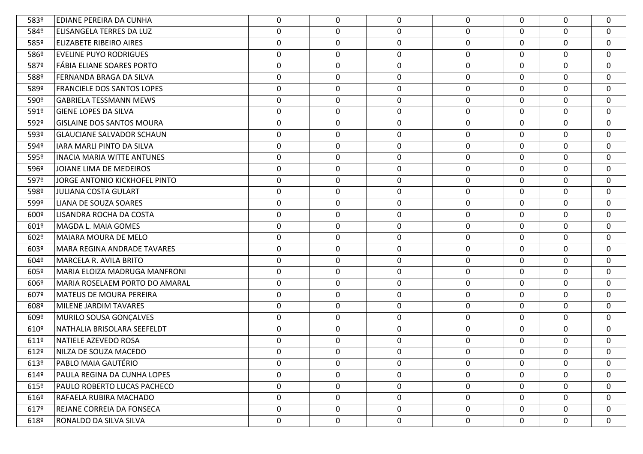| 583º             | <b>EDIANE PEREIRA DA CUNHA</b>       | 0           | $\mathbf{0}$     | 0           | 0            | $\Omega$    | $\mathbf 0$      | $\mathbf 0$      |
|------------------|--------------------------------------|-------------|------------------|-------------|--------------|-------------|------------------|------------------|
| 584º             | <b>ELISANGELA TERRES DA LUZ</b>      | 0           | $\mathbf 0$      | 0           | $\mathbf 0$  | 0           | $\mathbf 0$      | $\mathbf 0$      |
| 585º             | <b>ELIZABETE RIBEIRO AIRES</b>       | $\mathbf 0$ | 0                | 0           | 0            | 0           | 0                | 0                |
| 586 <sup>o</sup> | <b>EVELINE PUYO RODRIGUES</b>        | 0           | $\boldsymbol{0}$ | $\mathbf 0$ | $\mathbf 0$  | $\Omega$    | 0                | $\mathbf 0$      |
| 587º             | FÁBIA ELIANE SOARES PORTO            | $\mathbf 0$ | 0                | 0           | $\mathbf 0$  | $\Omega$    | 0                | 0                |
| 588º             | FERNANDA BRAGA DA SILVA              | $\pmb{0}$   | $\mathbf 0$      | 0           | $\mathbf 0$  | 0           | $\mathbf 0$      | 0                |
| 589º             | <b>FRANCIELE DOS SANTOS LOPES</b>    | $\mathbf 0$ | 0                | 0           | $\mathbf 0$  | $\Omega$    | 0                | $\mathbf 0$      |
| 590º             | <b>GABRIELA TESSMANN MEWS</b>        | 0           | 0                | 0           | $\mathbf 0$  | $\Omega$    | 0                | $\mathbf 0$      |
| 591º             | <b>GIENE LOPES DA SILVA</b>          | 0           | 0                | 0           | 0            | $\Omega$    | 0                | 0                |
| 592º             | <b>GISLAINE DOS SANTOS MOURA</b>     | 0           | $\boldsymbol{0}$ | 0           | $\mathbf 0$  | $\Omega$    | $\mathbf 0$      | $\mathbf 0$      |
| 593º             | <b>GLAUCIANE SALVADOR SCHAUN</b>     | 0           | 0                | 0           | 0            | $\Omega$    | 0                | 0                |
| 594º             | <b>IARA MARLI PINTO DA SILVA</b>     | 0           | $\mathbf 0$      | 0           | $\mathbf 0$  | $\Omega$    | $\mathbf 0$      | $\mathbf 0$      |
| 595º             | <b>INACIA MARIA WITTE ANTUNES</b>    | $\mathbf 0$ | 0                | 0           | 0            | $\Omega$    | 0                | 0                |
| 596º             | JOIANE LIMA DE MEDEIROS              | $\pmb{0}$   | $\mathbf 0$      | 0           | $\mathbf 0$  | 0           | $\mathbf 0$      | $\mathbf 0$      |
| 597º             | <b>JORGE ANTONIO KICKHOFEL PINTO</b> | $\mathbf 0$ | $\mathbf 0$      | 0           | $\mathbf 0$  | $\Omega$    | 0                | $\mathbf 0$      |
| 598º             | <b>JULIANA COSTA GULART</b>          | 0           | $\mathbf 0$      | 0           | 0            | $\Omega$    | 0                | $\mathbf 0$      |
| 599º             | LIANA DE SOUZA SOARES                | $\mathbf 0$ | 0                | 0           | 0            | $\Omega$    | 0                | 0                |
| 600 <sup>o</sup> | LISANDRA ROCHA DA COSTA              | 0           | $\mathbf 0$      | $\mathbf 0$ | $\mathbf 0$  | 0           | $\mathbf 0$      | $\mathbf 0$      |
| 601º             | MAGDA L. MAIA GOMES                  | 0           | 0                | 0           | 0            | $\Omega$    | $\boldsymbol{0}$ | 0                |
| 602º             | <b>MAIARA MOURA DE MELO</b>          | 0           | $\mathbf 0$      | 0           | $\mathbf 0$  | $\Omega$    | $\mathbf 0$      | $\mathbf 0$      |
| 603º             | MARA REGINA ANDRADE TAVARES          | 0           | $\mathbf 0$      | 0           | 0            | $\Omega$    | 0                | 0                |
| 604º             | <b>MARCELA R. AVILA BRITO</b>        | 0           | $\mathbf 0$      | 0           | $\mathbf 0$  | $\Omega$    | $\mathbf 0$      | $\mathbf 0$      |
| 605º             | MARIA ELOIZA MADRUGA MANFRONI        | 0           | $\mathbf 0$      | 0           | 0            | 0           | 0                | 0                |
| 606º             | MARIA ROSELAEM PORTO DO AMARAL       | 0           | 0                | 0           | 0            | $\Omega$    | 0                | $\mathbf 0$      |
| 607º             | <b>MATEUS DE MOURA PEREIRA</b>       | 0           | 0                | 0           | 0            | 0           | 0                | 0                |
| 608º             | MILENE JARDIM TAVARES                | 0           | $\mathbf 0$      | 0           | 0            | 0           | $\boldsymbol{0}$ | 0                |
| 609º             | MURILO SOUSA GONÇALVES               | 0           | 0                | 0           | 0            | $\Omega$    | 0                | 0                |
| 610º             | NATHALIA BRISOLARA SEEFELDT          | 0           | $\mathbf 0$      | 0           | 0            | 0           | $\boldsymbol{0}$ | 0                |
| 611º             | NATIELE AZEVEDO ROSA                 | $\mathbf 0$ | 0                | 0           | 0            | 0           | $\boldsymbol{0}$ | 0                |
| 612º             | NILZA DE SOUZA MACEDO                | 0           | 0                | 0           | 0            | 0           | 0                | 0                |
| 613º             | PABLO MAIA GAUTÉRIO                  | 0           | $\mathbf 0$      | 0           | $\mathbf{0}$ | $\Omega$    | $\mathbf{0}$     | $\mathbf 0$      |
| 6149             | PAULA REGINA DA CUNHA LOPES          | 0           | $\mathbf 0$      | 0           | $\mathbf{0}$ | 0           | $\mathbf 0$      | $\boldsymbol{0}$ |
| $615^{\circ}$    | PAULO ROBERTO LUCAS PACHECO          | 0           | $\mathbf 0$      | 0           | $\mathbf 0$  | $\Omega$    | $\mathbf 0$      | $\mathbf{0}$     |
| 6169             | RAFAELA RUBIRA MACHADO               | 0           | 0                | 0           | $\mathbf 0$  | $\mathbf 0$ | $\mathbf 0$      | $\boldsymbol{0}$ |
| 6179             | REJANE CORREIA DA FONSECA            | $\mathbf 0$ | 0                | 0           | 0            | 0           | $\mathbf 0$      | $\boldsymbol{0}$ |
| 618º             | RONALDO DA SILVA SILVA               | 0           | $\mathbf 0$      | 0           | $\mathbf 0$  | 0           | 0                | $\boldsymbol{0}$ |